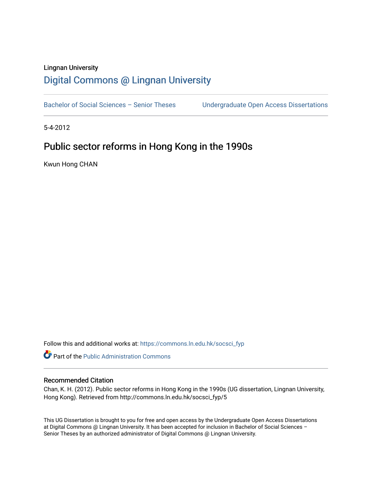### Lingnan University [Digital Commons @ Lingnan University](https://commons.ln.edu.hk/)

Bachelor of Social Sciences - Senior Theses Undergraduate Open Access Dissertations

5-4-2012

### Public sector reforms in Hong Kong in the 1990s

Kwun Hong CHAN

Follow this and additional works at: [https://commons.ln.edu.hk/socsci\\_fyp](https://commons.ln.edu.hk/socsci_fyp?utm_source=commons.ln.edu.hk%2Fsocsci_fyp%2F5&utm_medium=PDF&utm_campaign=PDFCoverPages)

**C** Part of the [Public Administration Commons](http://network.bepress.com/hgg/discipline/398?utm_source=commons.ln.edu.hk%2Fsocsci_fyp%2F5&utm_medium=PDF&utm_campaign=PDFCoverPages)

#### Recommended Citation

Chan, K. H. (2012). Public sector reforms in Hong Kong in the 1990s (UG dissertation, Lingnan University, Hong Kong). Retrieved from http://commons.ln.edu.hk/socsci\_fyp/5

This UG Dissertation is brought to you for free and open access by the Undergraduate Open Access Dissertations at Digital Commons @ Lingnan University. It has been accepted for inclusion in Bachelor of Social Sciences – Senior Theses by an authorized administrator of Digital Commons @ Lingnan University.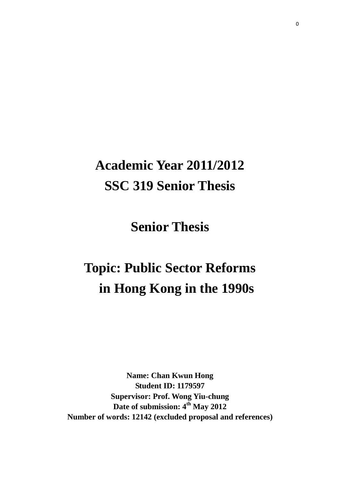# **Academic Year 2011/2012 SSC 319 Senior Thesis**

**Senior Thesis**

# **Topic: Public Sector Reforms in Hong Kong in the 1990s**

**Name: Chan Kwun Hong Student ID: 1179597 Supervisor: Prof. Wong Yiu-chung Date of submission: 4 th May 2012 Number of words: 12142 (excluded proposal and references)**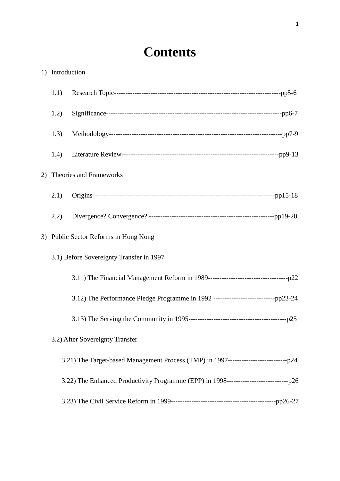## **Contents**

| 1) Introduction |                                                                                           |  |
|-----------------|-------------------------------------------------------------------------------------------|--|
| 1.1)            |                                                                                           |  |
| 1.2)            |                                                                                           |  |
| 1.3)            |                                                                                           |  |
| 1.4)            |                                                                                           |  |
|                 | 2) Theories and Frameworks                                                                |  |
| 2.1)            |                                                                                           |  |
| 2.2)            |                                                                                           |  |
|                 | 3) Public Sector Reforms in Hong Kong                                                     |  |
|                 | 3.1) Before Sovereignty Transfer in 1997                                                  |  |
|                 |                                                                                           |  |
|                 | 3.12) The Performance Pledge Programme in 1992 -----------------------------pp23-24       |  |
|                 |                                                                                           |  |
|                 | 3.2) After Sovereignty Transfer                                                           |  |
|                 | 3.21) The Target-based Management Process (TMP) in 1997-------------------------------p24 |  |
|                 |                                                                                           |  |
|                 |                                                                                           |  |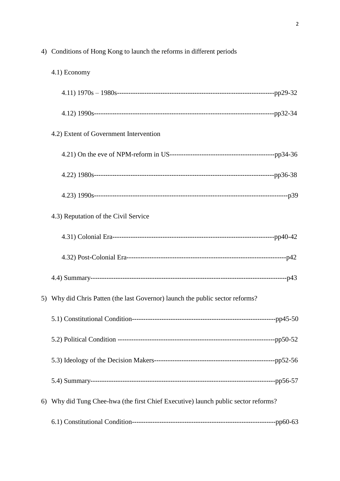| 4) | Conditions of Hong Kong to launch the reforms in different periods              |  |
|----|---------------------------------------------------------------------------------|--|
|    | 4.1) Economy                                                                    |  |
|    |                                                                                 |  |
|    |                                                                                 |  |
|    | 4.2) Extent of Government Intervention                                          |  |
|    |                                                                                 |  |
|    |                                                                                 |  |
|    |                                                                                 |  |
|    | 4.3) Reputation of the Civil Service                                            |  |
|    |                                                                                 |  |
|    |                                                                                 |  |
|    |                                                                                 |  |
|    | 5) Why did Chris Patten (the last Governor) launch the public sector reforms?   |  |
|    |                                                                                 |  |
|    |                                                                                 |  |
|    |                                                                                 |  |
|    |                                                                                 |  |
| 6) | Why did Tung Chee-hwa (the first Chief Executive) launch public sector reforms? |  |
|    |                                                                                 |  |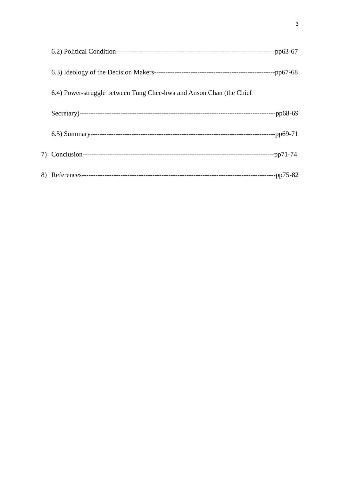| 6.4) Power-struggle between Tung Chee-hwa and Anson Chan (the Chief |          |
|---------------------------------------------------------------------|----------|
|                                                                     |          |
|                                                                     |          |
|                                                                     |          |
|                                                                     | -pp75-82 |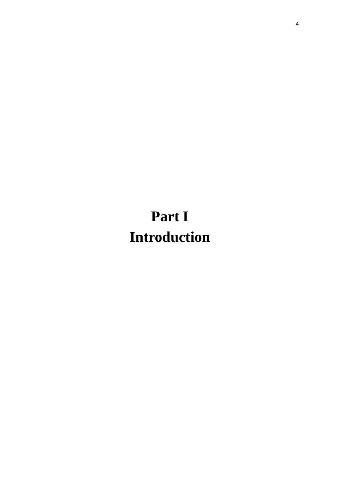# **Part I Introduction**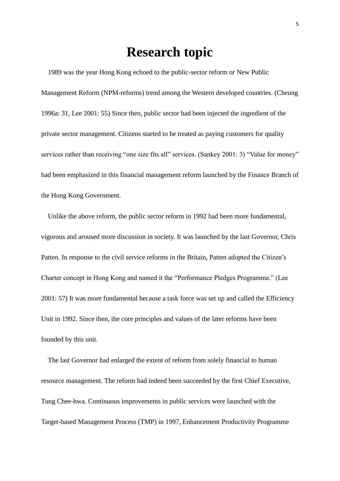### **Research topic**

 1989 was the year Hong Kong echoed to the public-sector reform or New Public Management Reform (NPM-reforms) trend among the Western developed countries. (Cheung 1996a: 31, Lee 2001: 55) Since then, public sector had been injected the ingredient of the private sector management. Citizens started to be treated as paying customers for quality services rather than receiving "one size fits all" services. (Sankey 2001: 3) "Value for money" had been emphasized in this financial management reform launched by the Finance Branch of the Hong Kong Government.

 Unlike the above reform, the public sector reform in 1992 had been more fundamental, vigorous and aroused more discussion in society. It was launched by the last Governor, Chris Patten. In response to the civil service reforms in the Britain, Patten adopted the Citizen's Charter concept in Hong Kong and named it the "Performance Pledges Programme." (Lee 2001: 57) It was more fundamental because a task force was set up and called the Efficiency Unit in 1992. Since then, the core principles and values of the later reforms have been founded by this unit.

 The last Governor had enlarged the extent of reform from solely financial to human resource management. The reform had indeed been succeeded by the first Chief Executive, Tung Chee-hwa. Continuous improvements in public services were launched with the Target-based Management Process (TMP) in 1997, Enhancement Productivity Programme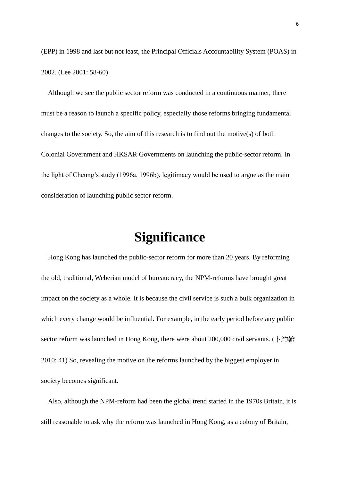(EPP) in 1998 and last but not least, the Principal Officials Accountability System (POAS) in 2002. (Lee 2001: 58-60)

 Although we see the public sector reform was conducted in a continuous manner, there must be a reason to launch a specific policy, especially those reforms bringing fundamental changes to the society. So, the aim of this research is to find out the motive(s) of both Colonial Government and HKSAR Governments on launching the public-sector reform. In the light of Cheung's study (1996a, 1996b), legitimacy would be used to argue as the main consideration of launching public sector reform.

## **Significance**

 Hong Kong has launched the public-sector reform for more than 20 years. By reforming the old, traditional, Weberian model of bureaucracy, the NPM-reforms have brought great impact on the society as a whole. It is because the civil service is such a bulk organization in which every change would be influential. For example, in the early period before any public sector reform was launched in Hong Kong, there were about 200,000 civil servants. (卜約翰 2010: 41) So, revealing the motive on the reforms launched by the biggest employer in society becomes significant.

 Also, although the NPM-reform had been the global trend started in the 1970s Britain, it is still reasonable to ask why the reform was launched in Hong Kong, as a colony of Britain,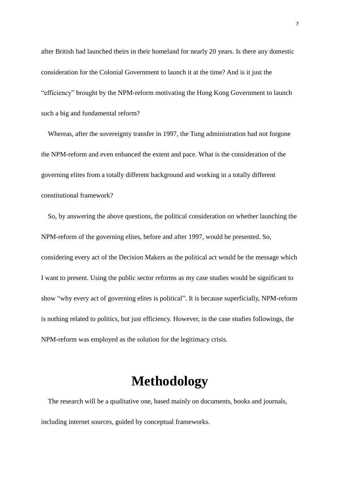after British had launched theirs in their homeland for nearly 20 years. Is there any domestic consideration for the Colonial Government to launch it at the time? And is it just the "efficiency" brought by the NPM-reform motivating the Hong Kong Government to launch such a big and fundamental reform?

 Whereas, after the sovereignty transfer in 1997, the Tung administration had not forgone the NPM-reform and even enhanced the extent and pace. What is the consideration of the governing elites from a totally different background and working in a totally different constitutional framework?

 So, by answering the above questions, the political consideration on whether launching the NPM-reform of the governing elites, before and after 1997, would be presented. So, considering every act of the Decision Makers as the political act would be the message which I want to present. Using the public sector reforms as my case studies would be significant to show "why every act of governing elites is political". It is because superficially, NPM-reform is nothing related to politics, but just efficiency. However, in the case studies followings, the NPM-reform was employed as the solution for the legitimacy crisis.

### **Methodology**

 The research will be a qualitative one, based mainly on documents, books and journals, including internet sources, guided by conceptual frameworks.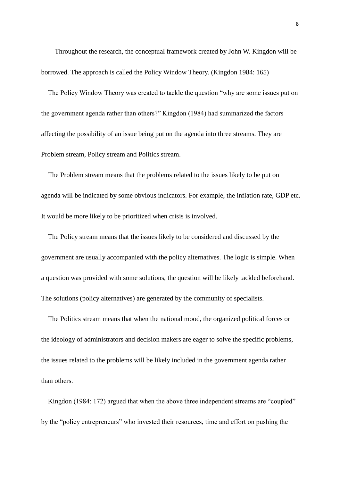Throughout the research, the conceptual framework created by John W. Kingdon will be borrowed. The approach is called the Policy Window Theory. (Kingdon 1984: 165)

 The Policy Window Theory was created to tackle the question "why are some issues put on the government agenda rather than others?" Kingdon (1984) had summarized the factors affecting the possibility of an issue being put on the agenda into three streams. They are Problem stream, Policy stream and Politics stream.

 The Problem stream means that the problems related to the issues likely to be put on agenda will be indicated by some obvious indicators. For example, the inflation rate, GDP etc. It would be more likely to be prioritized when crisis is involved.

 The Policy stream means that the issues likely to be considered and discussed by the government are usually accompanied with the policy alternatives. The logic is simple. When a question was provided with some solutions, the question will be likely tackled beforehand. The solutions (policy alternatives) are generated by the community of specialists.

 The Politics stream means that when the national mood, the organized political forces or the ideology of administrators and decision makers are eager to solve the specific problems, the issues related to the problems will be likely included in the government agenda rather than others.

Kingdon (1984: 172) argued that when the above three independent streams are "coupled" by the "policy entrepreneurs" who invested their resources, time and effort on pushing the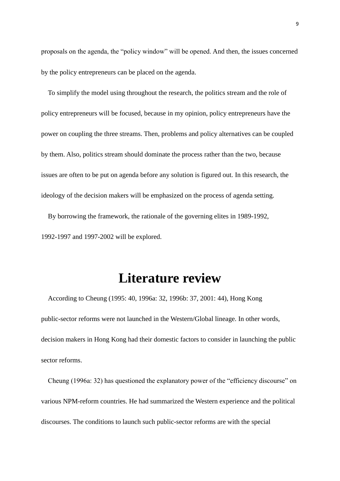proposals on the agenda, the "policy window" will be opened. And then, the issues concerned by the policy entrepreneurs can be placed on the agenda.

 To simplify the model using throughout the research, the politics stream and the role of policy entrepreneurs will be focused, because in my opinion, policy entrepreneurs have the power on coupling the three streams. Then, problems and policy alternatives can be coupled by them. Also, politics stream should dominate the process rather than the two, because issues are often to be put on agenda before any solution is figured out. In this research, the ideology of the decision makers will be emphasized on the process of agenda setting.

 By borrowing the framework, the rationale of the governing elites in 1989-1992, 1992-1997 and 1997-2002 will be explored.

## **Literature review**

 According to Cheung (1995: 40, 1996a: 32, 1996b: 37, 2001: 44), Hong Kong public-sector reforms were not launched in the Western/Global lineage. In other words, decision makers in Hong Kong had their domestic factors to consider in launching the public sector reforms.

Cheung (1996a: 32) has questioned the explanatory power of the "efficiency discourse" on various NPM-reform countries. He had summarized the Western experience and the political discourses. The conditions to launch such public-sector reforms are with the special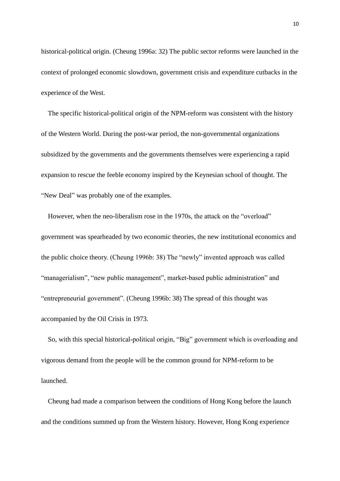historical-political origin. (Cheung 1996a: 32) The public sector reforms were launched in the context of prolonged economic slowdown, government crisis and expenditure cutbacks in the experience of the West.

 The specific historical-political origin of the NPM-reform was consistent with the history of the Western World. During the post-war period, the non-governmental organizations subsidized by the governments and the governments themselves were experiencing a rapid expansion to rescue the feeble economy inspired by the Keynesian school of thought. The "New Deal" was probably one of the examples.

 However, when the neo-liberalism rose in the 1970s, the attack on the "overload" government was spearheaded by two economic theories, the new institutional economics and the public choice theory. (Cheung 1996b: 38) The "newly" invented approach was called "managerialism", "new public management", market-based public administration" and "entrepreneurial government". (Cheung 1996b: 38) The spread of this thought was accompanied by the Oil Crisis in 1973.

 So, with this special historical-political origin, "Big" government which is overloading and vigorous demand from the people will be the common ground for NPM-reform to be launched.

 Cheung had made a comparison between the conditions of Hong Kong before the launch and the conditions summed up from the Western history. However, Hong Kong experience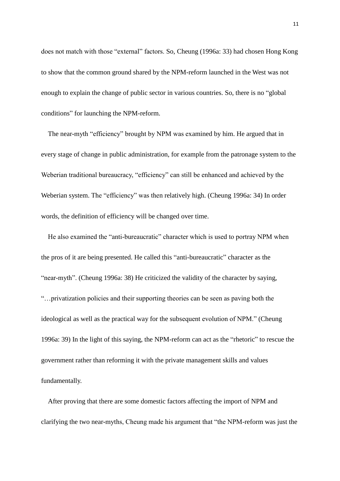does not match with those "external" factors. So, Cheung (1996a: 33) had chosen Hong Kong to show that the common ground shared by the NPM-reform launched in the West was not enough to explain the change of public sector in various countries. So, there is no "global conditions" for launching the NPM-reform.

 The near-myth "efficiency" brought by NPM was examined by him. He argued that in every stage of change in public administration, for example from the patronage system to the Weberian traditional bureaucracy, "efficiency" can still be enhanced and achieved by the Weberian system. The "efficiency" was then relatively high. (Cheung 1996a: 34) In order words, the definition of efficiency will be changed over time.

 He also examined the "anti-bureaucratic" character which is used to portray NPM when the pros of it are being presented. He called this "anti-bureaucratic" character as the "near-myth". (Cheung 1996a: 38) He criticized the validity of the character by saying, "…privatization policies and their supporting theories can be seen as paving both the ideological as well as the practical way for the subsequent evolution of NPM." (Cheung 1996a: 39) In the light of this saying, the NPM-reform can act as the "rhetoric" to rescue the government rather than reforming it with the private management skills and values fundamentally.

 After proving that there are some domestic factors affecting the import of NPM and clarifying the two near-myths, Cheung made his argument that "the NPM-reform was just the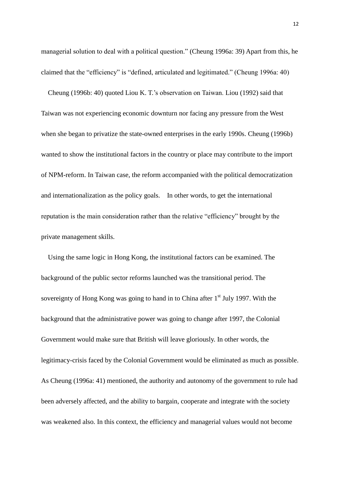managerial solution to deal with a political question." (Cheung 1996a: 39) Apart from this, he claimed that the "efficiency" is "defined, articulated and legitimated." (Cheung 1996a: 40)

 Cheung (1996b: 40) quoted Liou K. T.'s observation on Taiwan. Liou (1992) said that Taiwan was not experiencing economic downturn nor facing any pressure from the West when she began to privatize the state-owned enterprises in the early 1990s. Cheung (1996b) wanted to show the institutional factors in the country or place may contribute to the import of NPM-reform. In Taiwan case, the reform accompanied with the political democratization and internationalization as the policy goals. In other words, to get the international reputation is the main consideration rather than the relative "efficiency" brought by the private management skills.

 Using the same logic in Hong Kong, the institutional factors can be examined. The background of the public sector reforms launched was the transitional period. The sovereignty of Hong Kong was going to hand in to China after  $1<sup>st</sup>$  July 1997. With the background that the administrative power was going to change after 1997, the Colonial Government would make sure that British will leave gloriously. In other words, the legitimacy-crisis faced by the Colonial Government would be eliminated as much as possible. As Cheung (1996a: 41) mentioned, the authority and autonomy of the government to rule had been adversely affected, and the ability to bargain, cooperate and integrate with the society was weakened also. In this context, the efficiency and managerial values would not become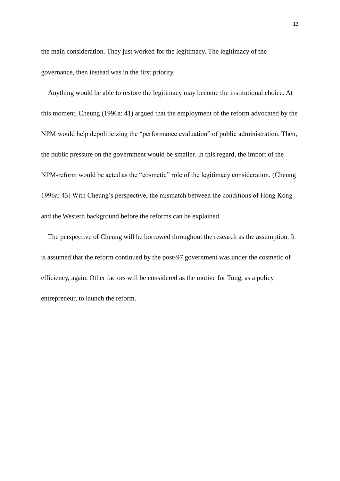the main consideration. They just worked for the legitimacy. The legitimacy of the governance, then instead was in the first priority.

 Anything would be able to restore the legitimacy may become the institutional choice. At this moment, Cheung (1996a: 41) argued that the employment of the reform advocated by the NPM would help depoliticizing the "performance evaluation" of public administration. Then, the public pressure on the government would be smaller. In this regard, the import of the NPM-reform would be acted as the "cosmetic" role of the legitimacy consideration. (Cheung 1996a: 43) With Cheung's perspective, the mismatch between the conditions of Hong Kong and the Western background before the reforms can be explained.

 The perspective of Cheung will be borrowed throughout the research as the assumption. It is assumed that the reform continued by the post-97 government was under the cosmetic of efficiency, again. Other factors will be considered as the motive for Tung, as a policy entrepreneur, to launch the reform.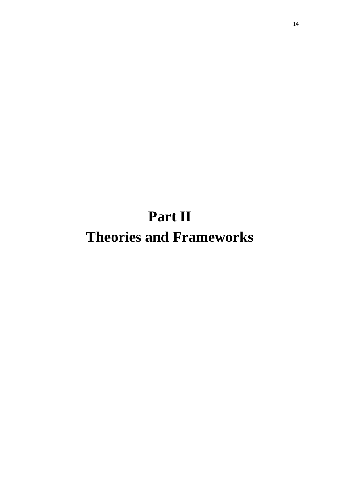# **Part II Theories and Frameworks**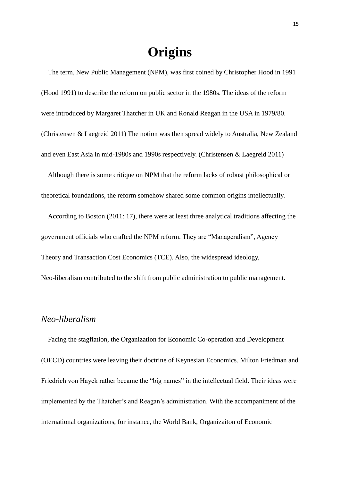## **Origins**

 The term, New Public Management (NPM), was first coined by Christopher Hood in 1991 (Hood 1991) to describe the reform on public sector in the 1980s. The ideas of the reform were introduced by Margaret Thatcher in UK and Ronald Reagan in the USA in 1979/80. (Christensen & Laegreid 2011) The notion was then spread widely to Australia, New Zealand and even East Asia in mid-1980s and 1990s respectively. (Christensen & Laegreid 2011)

 Although there is some critique on NPM that the reform lacks of robust philosophical or theoretical foundations, the reform somehow shared some common origins intellectually.

 According to Boston (2011: 17), there were at least three analytical traditions affecting the government officials who crafted the NPM reform. They are "Manageralism", Agency Theory and Transaction Cost Economics (TCE). Also, the widespread ideology, Neo-liberalism contributed to the shift from public administration to public management.

#### *Neo-liberalism*

 Facing the stagflation, the Organization for Economic Co-operation and Development (OECD) countries were leaving their doctrine of Keynesian Economics. Milton Friedman and Friedrich von Hayek rather became the "big names" in the intellectual field. Their ideas were implemented by the Thatcher's and Reagan's administration. With the accompaniment of the international organizations, for instance, the World Bank, Organizaiton of Economic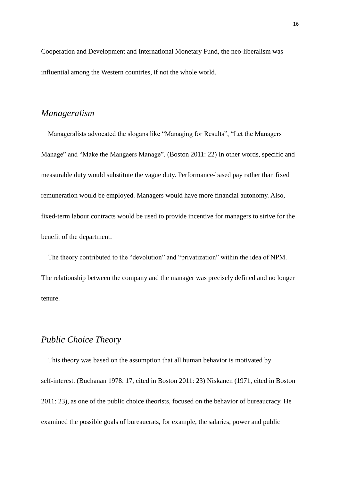Cooperation and Development and International Monetary Fund, the neo-liberalism was influential among the Western countries, if not the whole world.

### *Manageralism*

 Manageralists advocated the slogans like "Managing for Results", "Let the Managers Manage" and "Make the Mangaers Manage". (Boston 2011: 22) In other words, specific and measurable duty would substitute the vague duty. Performance-based pay rather than fixed remuneration would be employed. Managers would have more financial autonomy. Also, fixed-term labour contracts would be used to provide incentive for managers to strive for the benefit of the department.

 The theory contributed to the "devolution" and "privatization" within the idea of NPM. The relationship between the company and the manager was precisely defined and no longer tenure.

### *Public Choice Theory*

 This theory was based on the assumption that all human behavior is motivated by self-interest. (Buchanan 1978: 17, cited in Boston 2011: 23) Niskanen (1971, cited in Boston 2011: 23), as one of the public choice theorists, focused on the behavior of bureaucracy. He examined the possible goals of bureaucrats, for example, the salaries, power and public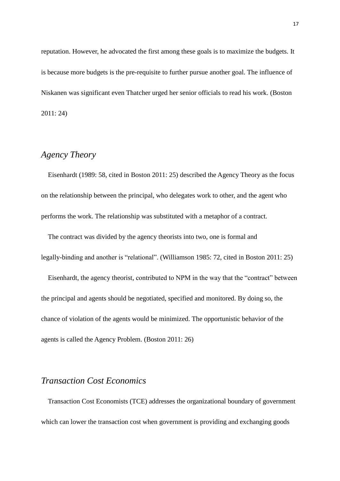reputation. However, he advocated the first among these goals is to maximize the budgets. It is because more budgets is the pre-requisite to further pursue another goal. The influence of Niskanen was significant even Thatcher urged her senior officials to read his work. (Boston 2011: 24)

### *Agency Theory*

 Eisenhardt (1989: 58, cited in Boston 2011: 25) described the Agency Theory as the focus on the relationship between the principal, who delegates work to other, and the agent who performs the work. The relationship was substituted with a metaphor of a contract.

 The contract was divided by the agency theorists into two, one is formal and legally-binding and another is "relational". (Williamson 1985: 72, cited in Boston 2011: 25)

 Eisenhardt, the agency theorist, contributed to NPM in the way that the "contract" between the principal and agents should be negotiated, specified and monitored. By doing so, the chance of violation of the agents would be minimized. The opportunistic behavior of the agents is called the Agency Problem. (Boston 2011: 26)

### *Transaction Cost Economics*

 Transaction Cost Economists (TCE) addresses the organizational boundary of government which can lower the transaction cost when government is providing and exchanging goods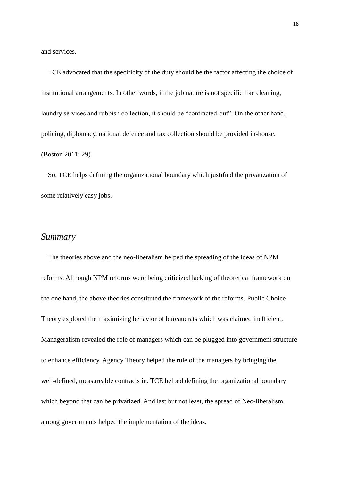and services.

 TCE advocated that the specificity of the duty should be the factor affecting the choice of institutional arrangements. In other words, if the job nature is not specific like cleaning, laundry services and rubbish collection, it should be "contracted-out". On the other hand, policing, diplomacy, national defence and tax collection should be provided in-house. (Boston 2011: 29)

 So, TCE helps defining the organizational boundary which justified the privatization of some relatively easy jobs.

#### *Summary*

 The theories above and the neo-liberalism helped the spreading of the ideas of NPM reforms. Although NPM reforms were being criticized lacking of theoretical framework on the one hand, the above theories constituted the framework of the reforms. Public Choice Theory explored the maximizing behavior of bureaucrats which was claimed inefficient. Manageralism revealed the role of managers which can be plugged into government structure to enhance efficiency. Agency Theory helped the rule of the managers by bringing the well-defined, measureable contracts in. TCE helped defining the organizational boundary which beyond that can be privatized. And last but not least, the spread of Neo-liberalism among governments helped the implementation of the ideas.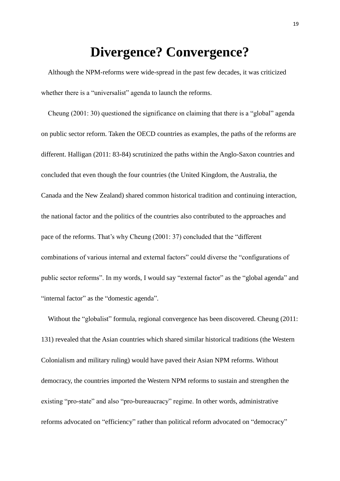## **Divergence? Convergence?**

 Although the NPM-reforms were wide-spread in the past few decades, it was criticized whether there is a "universalist" agenda to launch the reforms.

 Cheung (2001: 30) questioned the significance on claiming that there is a "global" agenda on public sector reform. Taken the OECD countries as examples, the paths of the reforms are different. Halligan (2011: 83-84) scrutinized the paths within the Anglo-Saxon countries and concluded that even though the four countries (the United Kingdom, the Australia, the Canada and the New Zealand) shared common historical tradition and continuing interaction, the national factor and the politics of the countries also contributed to the approaches and pace of the reforms. That's why Cheung (2001: 37) concluded that the "different combinations of various internal and external factors" could diverse the "configurations of public sector reforms". In my words, I would say "external factor" as the "global agenda" and "internal factor" as the "domestic agenda".

Without the "globalist" formula, regional convergence has been discovered. Cheung (2011: 131) revealed that the Asian countries which shared similar historical traditions (the Western Colonialism and military ruling) would have paved their Asian NPM reforms. Without democracy, the countries imported the Western NPM reforms to sustain and strengthen the existing "pro-state" and also "pro-bureaucracy" regime. In other words, administrative reforms advocated on "efficiency" rather than political reform advocated on "democracy"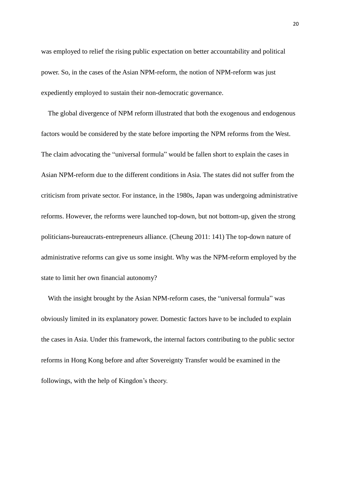was employed to relief the rising public expectation on better accountability and political power. So, in the cases of the Asian NPM-reform, the notion of NPM-reform was just expediently employed to sustain their non-democratic governance.

 The global divergence of NPM reform illustrated that both the exogenous and endogenous factors would be considered by the state before importing the NPM reforms from the West. The claim advocating the "universal formula" would be fallen short to explain the cases in Asian NPM-reform due to the different conditions in Asia. The states did not suffer from the criticism from private sector. For instance, in the 1980s, Japan was undergoing administrative reforms. However, the reforms were launched top-down, but not bottom-up, given the strong politicians-bureaucrats-entrepreneurs alliance. (Cheung 2011: 141) The top-down nature of administrative reforms can give us some insight. Why was the NPM-reform employed by the state to limit her own financial autonomy?

With the insight brought by the Asian NPM-reform cases, the "universal formula" was obviously limited in its explanatory power. Domestic factors have to be included to explain the cases in Asia. Under this framework, the internal factors contributing to the public sector reforms in Hong Kong before and after Sovereignty Transfer would be examined in the followings, with the help of Kingdon's theory.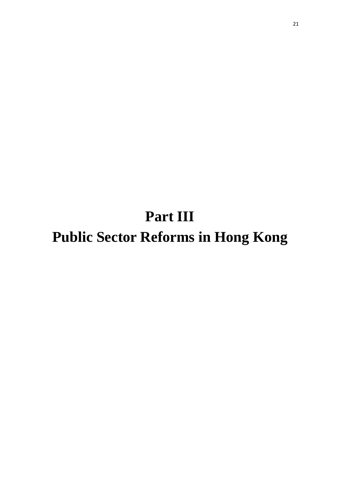**Part III Public Sector Reforms in Hong Kong**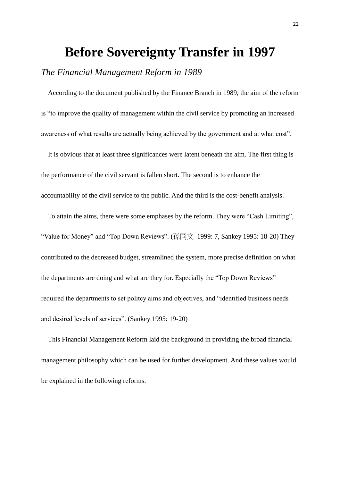### **Before Sovereignty Transfer in 1997**

### *The Financial Management Reform in 1989*

According to the document published by the Finance Branch in 1989, the aim of the reform is "to improve the quality of management within the civil service by promoting an increased awareness of what results are actually being achieved by the government and at what cost".

 It is obvious that at least three significances were latent beneath the aim. The first thing is the performance of the civil servant is fallen short. The second is to enhance the accountability of the civil service to the public. And the third is the cost-benefit analysis.

 To attain the aims, there were some emphases by the reform. They were "Cash Limiting", "Value for Money" and "Top Down Reviews". (孫同文 1999: 7, Sankey 1995: 18-20) They contributed to the decreased budget, streamlined the system, more precise definition on what the departments are doing and what are they for. Especially the "Top Down Reviews" required the departments to set politcy aims and objectives, and "identified business needs and desired levels of services". (Sankey 1995: 19-20)

 This Financial Management Reform laid the background in providing the broad financial management philosophy which can be used for further development. And these values would be explained in the following reforms.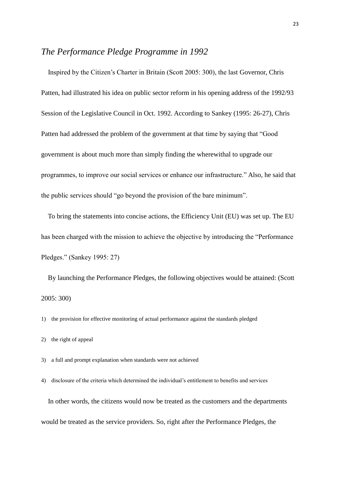### *The Performance Pledge Programme in 1992*

 Inspired by the Citizen's Charter in Britain (Scott 2005: 300), the last Governor, Chris Patten, had illustrated his idea on public sector reform in his opening address of the 1992/93 Session of the Legislative Council in Oct. 1992. According to Sankey (1995: 26-27), Chris Patten had addressed the problem of the government at that time by saying that "Good government is about much more than simply finding the wherewithal to upgrade our programmes, to improve our social services or enhance our infrastructure." Also, he said that the public services should "go beyond the provision of the bare minimum".

 To bring the statements into concise actions, the Efficiency Unit (EU) was set up. The EU has been charged with the mission to achieve the objective by introducing the "Performance Pledges." (Sankey 1995: 27)

 By launching the Performance Pledges, the following objectives would be attained: (Scott 2005: 300)

1) the provision for effective monitoring of actual performance against the standards pledged

- 2) the right of appeal
- 3) a full and prompt explanation when standards were not achieved
- 4) disclosure of the criteria which determined the individual's entitlement to benefits and services

 In other words, the citizens would now be treated as the customers and the departments would be treated as the service providers. So, right after the Performance Pledges, the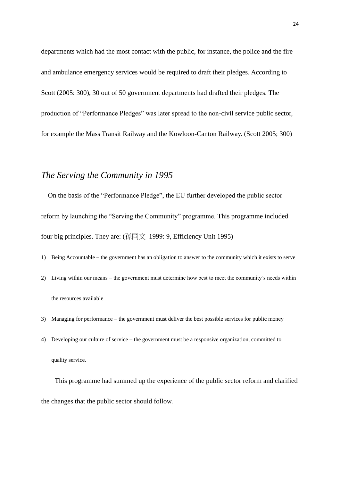departments which had the most contact with the public, for instance, the police and the fire and ambulance emergency services would be required to draft their pledges. According to Scott (2005: 300), 30 out of 50 government departments had drafted their pledges. The production of "Performance Pledges" was later spread to the non-civil service public sector, for example the Mass Transit Railway and the Kowloon-Canton Railway. (Scott 2005; 300)

### *The Serving the Community in 1995*

 On the basis of the "Performance Pledge", the EU further developed the public sector reform by launching the "Serving the Community" programme. This programme included four big principles. They are: (孫同文 1999: 9, Efficiency Unit 1995)

- 1) Being Accountable the government has an obligation to answer to the community which it exists to serve
- 2) Living within our means the government must determine how best to meet the community's needs within the resources available
- 3) Managing for performance the government must deliver the best possible services for public money
- 4) Developing our culture of service the government must be a responsive organization, committed to quality service.

This programme had summed up the experience of the public sector reform and clarified the changes that the public sector should follow.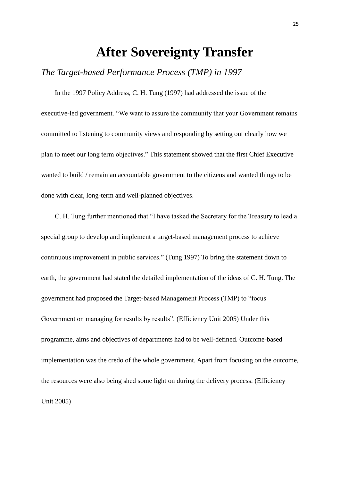### **After Sovereignty Transfer**

### *The Target-based Performance Process (TMP) in 1997*

In the 1997 Policy Address, C. H. Tung (1997) had addressed the issue of the executive-led government. "We want to assure the community that your Government remains committed to listening to community views and responding by setting out clearly how we plan to meet our long term objectives." This statement showed that the first Chief Executive wanted to build / remain an accountable government to the citizens and wanted things to be done with clear, long-term and well-planned objectives.

C. H. Tung further mentioned that "I have tasked the Secretary for the Treasury to lead a special group to develop and implement a target-based management process to achieve continuous improvement in public services." (Tung 1997) To bring the statement down to earth, the government had stated the detailed implementation of the ideas of C. H. Tung. The government had proposed the Target-based Management Process (TMP) to "focus Government on managing for results by results". (Efficiency Unit 2005) Under this programme, aims and objectives of departments had to be well-defined. Outcome-based implementation was the credo of the whole government. Apart from focusing on the outcome, the resources were also being shed some light on during the delivery process. (Efficiency Unit 2005)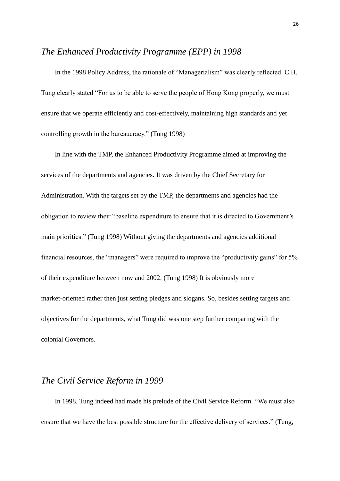#### *The Enhanced Productivity Programme (EPP) in 1998*

In the 1998 Policy Address, the rationale of "Managerialism" was clearly reflected. C.H. Tung clearly stated "For us to be able to serve the people of Hong Kong properly, we must ensure that we operate efficiently and cost-effectively, maintaining high standards and yet controlling growth in the bureaucracy." (Tung 1998)

In line with the TMP, the Enhanced Productivity Programme aimed at improving the services of the departments and agencies. It was driven by the Chief Secretary for Administration. With the targets set by the TMP, the departments and agencies had the obligation to review their "baseline expenditure to ensure that it is directed to Government's main priorities." (Tung 1998) Without giving the departments and agencies additional financial resources, the "managers" were required to improve the "productivity gains" for 5% of their expenditure between now and 2002. (Tung 1998) It is obviously more market-oriented rather then just setting pledges and slogans. So, besides setting targets and objectives for the departments, what Tung did was one step further comparing with the colonial Governors.

#### *The Civil Service Reform in 1999*

In 1998, Tung indeed had made his prelude of the Civil Service Reform. "We must also ensure that we have the best possible structure for the effective delivery of services." (Tung,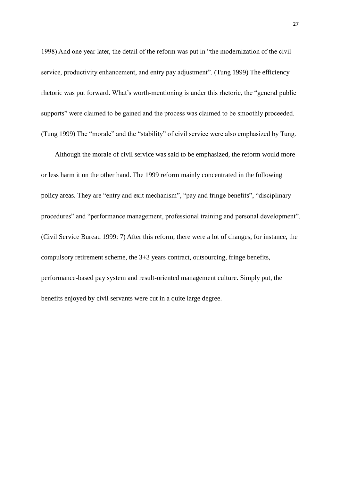1998) And one year later, the detail of the reform was put in "the modernization of the civil service, productivity enhancement, and entry pay adjustment". (Tung 1999) The efficiency rhetoric was put forward. What's worth-mentioning is under this rhetoric, the "general public supports" were claimed to be gained and the process was claimed to be smoothly proceeded. (Tung 1999) The "morale" and the "stability" of civil service were also emphasized by Tung.

Although the morale of civil service was said to be emphasized, the reform would more or less harm it on the other hand. The 1999 reform mainly concentrated in the following policy areas. They are "entry and exit mechanism", "pay and fringe benefits", "disciplinary procedures" and "performance management, professional training and personal development". (Civil Service Bureau 1999: 7) After this reform, there were a lot of changes, for instance, the compulsory retirement scheme, the 3+3 years contract, outsourcing, fringe benefits, performance-based pay system and result-oriented management culture. Simply put, the benefits enjoyed by civil servants were cut in a quite large degree.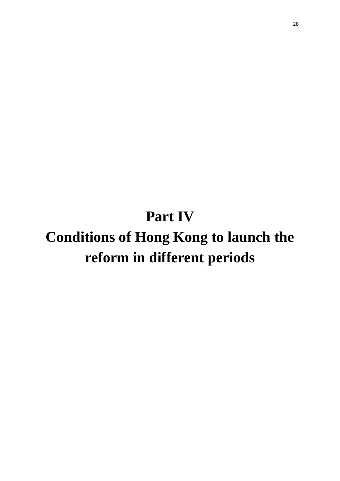## **Part IV**

# **Conditions of Hong Kong to launch the reform in different periods**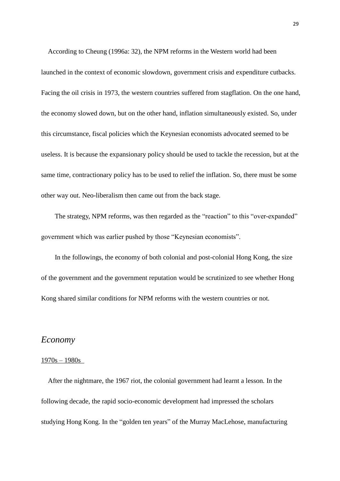According to Cheung (1996a: 32), the NPM reforms in the Western world had been launched in the context of economic slowdown, government crisis and expenditure cutbacks. Facing the oil crisis in 1973, the western countries suffered from stagflation. On the one hand, the economy slowed down, but on the other hand, inflation simultaneously existed. So, under this circumstance, fiscal policies which the Keynesian economists advocated seemed to be useless. It is because the expansionary policy should be used to tackle the recession, but at the same time, contractionary policy has to be used to relief the inflation. So, there must be some other way out. Neo-liberalism then came out from the back stage.

The strategy, NPM reforms, was then regarded as the "reaction" to this "over-expanded" government which was earlier pushed by those "Keynesian economists".

In the followings, the economy of both colonial and post-colonial Hong Kong, the size of the government and the government reputation would be scrutinized to see whether Hong Kong shared similar conditions for NPM reforms with the western countries or not.

#### *Economy*

#### 1970s – 1980s

 After the nightmare, the 1967 riot, the colonial government had learnt a lesson. In the following decade, the rapid socio-economic development had impressed the scholars studying Hong Kong. In the "golden ten years" of the Murray MacLehose, manufacturing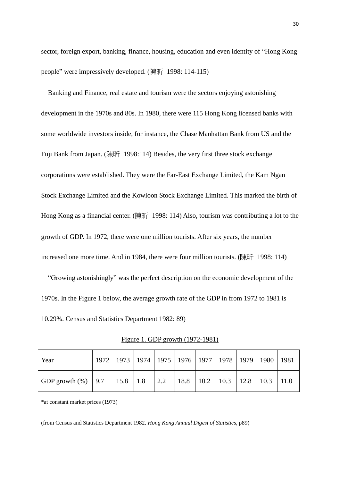sector, foreign export, banking, finance, housing, education and even identity of "Hong Kong people" were impressively developed. (陳昕 1998: 114-115)

 Banking and Finance, real estate and tourism were the sectors enjoying astonishing development in the 1970s and 80s. In 1980, there were 115 Hong Kong licensed banks with some worldwide investors inside, for instance, the Chase Manhattan Bank from US and the Fuji Bank from Japan. (陳昕 1998:114) Besides, the very first three stock exchange corporations were established. They were the Far-East Exchange Limited, the Kam Ngan Stock Exchange Limited and the Kowloon Stock Exchange Limited. This marked the birth of Hong Kong as a financial center. (陳昕 1998: 114) Also, tourism was contributing a lot to the growth of GDP. In 1972, there were one million tourists. After six years, the number increased one more time. And in 1984, there were four million tourists. (陳昕 1998: 114)

 "Growing astonishingly" was the perfect description on the economic development of the 1970s. In the Figure 1 below, the average growth rate of the GDP in from 1972 to 1981 is 10.29%. Census and Statistics Department 1982: 89)

| Year                                                                              |  |  |  | 1972   1973   1974   1975   1976   1977   1978   1979   1980   1981 |  |  |
|-----------------------------------------------------------------------------------|--|--|--|---------------------------------------------------------------------|--|--|
| GDP growth (%)   9.7   15.8   1.8   2.2   18.8   10.2   10.3   12.8   10.3   11.0 |  |  |  |                                                                     |  |  |

Figure 1. GDP growth (1972-1981)

\*at constant market prices (1973)

(from Census and Statistics Department 1982. *Hong Kong Annual Digest of Statistics*, p89)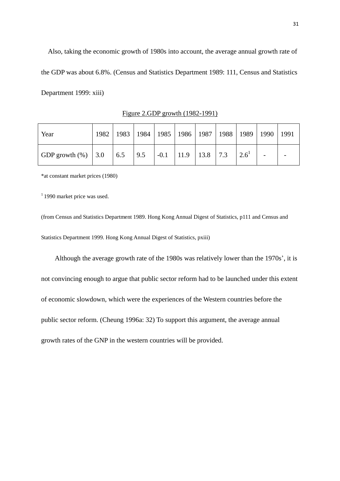Also, taking the economic growth of 1980s into account, the average annual growth rate of the GDP was about 6.8%. (Census and Statistics Department 1989: 111, Census and Statistics Department 1999: xiii)

| Year                    |  |  |  | 1982   1983   1984   1985   1986   1987   1988   1989   1990   1991 |  |  |
|-------------------------|--|--|--|---------------------------------------------------------------------|--|--|
| GDP growth $(\%)$   3.0 |  |  |  |                                                                     |  |  |

Figure 2.GDP growth (1982-1991)

\*at constant market prices (1980)

 $11990$  market price was used.

(from Census and Statistics Department 1989. Hong Kong Annual Digest of Statistics, p111 and Census and Statistics Department 1999. Hong Kong Annual Digest of Statistics, pxiii)

Although the average growth rate of the 1980s was relatively lower than the 1970s', it is not convincing enough to argue that public sector reform had to be launched under this extent of economic slowdown, which were the experiences of the Western countries before the public sector reform. (Cheung 1996a: 32) To support this argument, the average annual growth rates of the GNP in the western countries will be provided.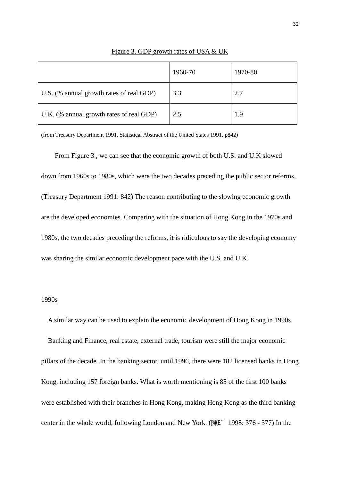|                                          | 1960-70 | 1970-80 |
|------------------------------------------|---------|---------|
| U.S. (% annual growth rates of real GDP) | 3.3     | 2.7     |
| U.K. (% annual growth rates of real GDP) | 2.5     | 1.9     |

Figure 3. GDP growth rates of USA & UK

(from Treasury Department 1991. Statistical Abstract of the United States 1991, p842)

From Figure 3 , we can see that the economic growth of both U.S. and U.K slowed down from 1960s to 1980s, which were the two decades preceding the public sector reforms. (Treasury Department 1991: 842) The reason contributing to the slowing economic growth are the developed economies. Comparing with the situation of Hong Kong in the 1970s and 1980s, the two decades preceding the reforms, it is ridiculous to say the developing economy was sharing the similar economic development pace with the U.S. and U.K.

#### 1990s

 Banking and Finance, real estate, external trade, tourism were still the major economic pillars of the decade. In the banking sector, until 1996, there were 182 licensed banks in Hong Kong, including 157 foreign banks. What is worth mentioning is 85 of the first 100 banks were established with their branches in Hong Kong, making Hong Kong as the third banking center in the whole world, following London and New York. (陳昕 1998: 376 - 377) In the

A similar way can be used to explain the economic development of Hong Kong in 1990s.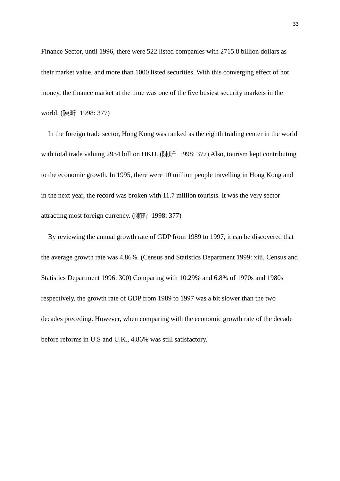Finance Sector, until 1996, there were 522 listed companies with 2715.8 billion dollars as their market value, and more than 1000 listed securities. With this converging effect of hot money, the finance market at the time was one of the five busiest security markets in the world. (陳昕 1998: 377)

 In the foreign trade sector, Hong Kong was ranked as the eighth trading center in the world with total trade valuing 2934 billion HKD. (陳昕 1998: 377) Also, tourism kept contributing to the economic growth. In 1995, there were 10 million people travelling in Hong Kong and in the next year, the record was broken with 11.7 million tourists. It was the very sector attracting most foreign currency. (陳昕 1998: 377)

 By reviewing the annual growth rate of GDP from 1989 to 1997, it can be discovered that the average growth rate was 4.86%. (Census and Statistics Department 1999: xiii, Census and Statistics Department 1996: 300) Comparing with 10.29% and 6.8% of 1970s and 1980s respectively, the growth rate of GDP from 1989 to 1997 was a bit slower than the two decades preceding. However, when comparing with the economic growth rate of the decade before reforms in U.S and U.K., 4.86% was still satisfactory.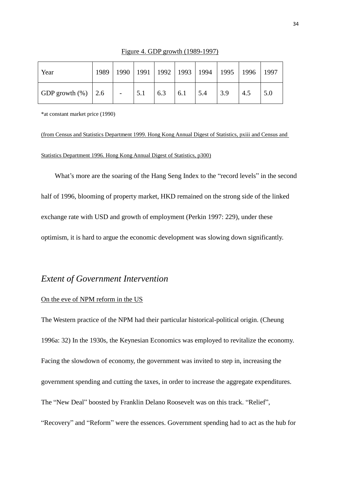| Year                  | 1989 |   |     |     |     | 1990   1991   1992   1993   1994   1995   1996 |     |     | 1997 |
|-----------------------|------|---|-----|-----|-----|------------------------------------------------|-----|-----|------|
| GDP growth $(\%)$ 2.6 |      | - | 5.1 | 6.3 | 6.1 | 5.4                                            | 3.9 | 4.5 | 5.0  |

Figure 4. GDP growth (1989-1997)

\*at constant market price (1990)

(from Census and Statistics Department 1999. Hong Kong Annual Digest of Statistics, pxiii and Census and Statistics Department 1996. Hong Kong Annual Digest of Statistics, p300)

What's more are the soaring of the Hang Seng Index to the "record levels" in the second half of 1996, blooming of property market, HKD remained on the strong side of the linked exchange rate with USD and growth of employment (Perkin 1997: 229), under these optimism, it is hard to argue the economic development was slowing down significantly.

### *Extent of Government Intervention*

#### On the eve of NPM reform in the US

The Western practice of the NPM had their particular historical-political origin. (Cheung 1996a: 32) In the 1930s, the Keynesian Economics was employed to revitalize the economy. Facing the slowdown of economy, the government was invited to step in, increasing the government spending and cutting the taxes, in order to increase the aggregate expenditures. The "New Deal" boosted by Franklin Delano Roosevelt was on this track. "Relief", "Recovery" and "Reform" were the essences. Government spending had to act as the hub for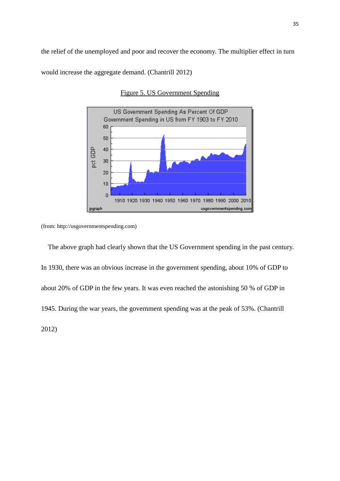the relief of the unemployed and poor and recover the economy. The multiplier effect in turn

would increase the aggregate demand. (Chantrill 2012)



Figure 5. US Government Spending

(from: http://usgovernmentspending.com)

 The above graph had clearly shown that the US Government spending in the past century. In 1930, there was an obvious increase in the government spending, about 10% of GDP to about 20% of GDP in the few years. It was even reached the astonishing 50 % of GDP in 1945. During the war years, the government spending was at the peak of 53%. (Chantrill 2012)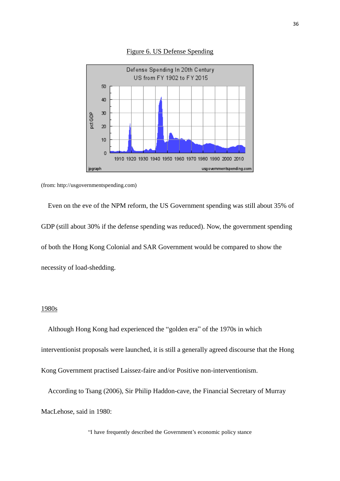

Figure 6. US Defense Spending

(from: http://usgovernmentspending.com)

 Even on the eve of the NPM reform, the US Government spending was still about 35% of GDP (still about 30% if the defense spending was reduced). Now, the government spending of both the Hong Kong Colonial and SAR Government would be compared to show the necessity of load-shedding.

#### 1980s

 Although Hong Kong had experienced the "golden era" of the 1970s in which interventionist proposals were launched, it is still a generally agreed discourse that the Hong Kong Government practised Laissez-faire and/or Positive non-interventionism.

 According to Tsang (2006), Sir Philip Haddon-cave, the Financial Secretary of Murray MacLehose, said in 1980:

"I have frequently described the Government's economic policy stance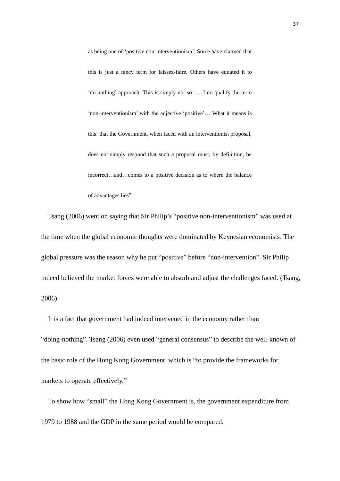as being one of 'positive non-interventionism'. Some have claimed that this is just a fancy term for laissez-faire. Others have equated it to 'do-nothing' approach. This is simply not so: … I do qualify the term 'non-interventionism' with the adjective 'positive'… What it means is this: that the Government, when faced with an interventionist proposal, does not simply respond that such a proposal must, by definition, be incorrect…and…comes to a positive decision as to where the balance of advantages lies"

 Tsang (2006) went on saying that Sir Philip's "positive non-interventionism" was used at the time when the global economic thoughts were dominated by Keynesian economists. The global pressure was the reason why he put "positive" before "non-intervention". Sir Philip indeed believed the market forces were able to absorb and adjust the challenges faced. (Tsang, 2006)

 It is a fact that government had indeed intervened in the economy rather than "doing-nothing". Tsang (2006) even used "general consensus" to describe the well-known of the basic role of the Hong Kong Government, which is "to provide the frameworks for markets to operate effectively."

 To show how "small" the Hong Kong Government is, the government expenditure from 1979 to 1988 and the GDP in the same period would be compared.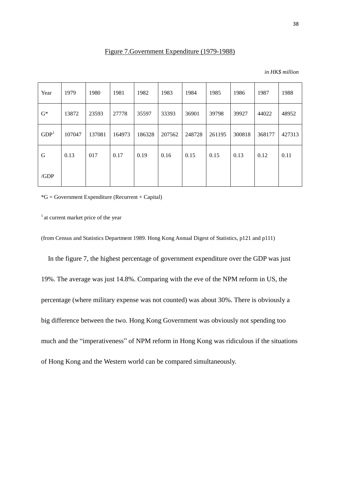| in HK\$ million |  |
|-----------------|--|
|-----------------|--|

| Year             | 1979   | 1980   | 1981   | 1982   | 1983   | 1984   | 1985   | 1986   | 1987   | 1988   |
|------------------|--------|--------|--------|--------|--------|--------|--------|--------|--------|--------|
| $G^*$            | 13872  | 23593  | 27778  | 35597  | 33393  | 36901  | 39798  | 39927  | 44022  | 48952  |
| GDP <sup>1</sup> | 107047 | 137081 | 164973 | 186328 | 207562 | 248728 | 261195 | 300818 | 368177 | 427313 |
| G                | 0.13   | 017    | 0.17   | 0.19   | 0.16   | 0.15   | 0.15   | 0.13   | 0.12   | 0.11   |
| /GDP             |        |        |        |        |        |        |        |        |        |        |

 $*G = Government\t Experiment (Recurrent + Capital)$ 

 $<sup>1</sup>$  at current market price of the year</sup>

(from Census and Statistics Department 1989. Hong Kong Annual Digest of Statistics, p121 and p111)

 In the figure 7, the highest percentage of government expenditure over the GDP was just 19%. The average was just 14.8%. Comparing with the eve of the NPM reform in US, the percentage (where military expense was not counted) was about 30%. There is obviously a big difference between the two. Hong Kong Government was obviously not spending too much and the "imperativeness" of NPM reform in Hong Kong was ridiculous if the situations of Hong Kong and the Western world can be compared simultaneously.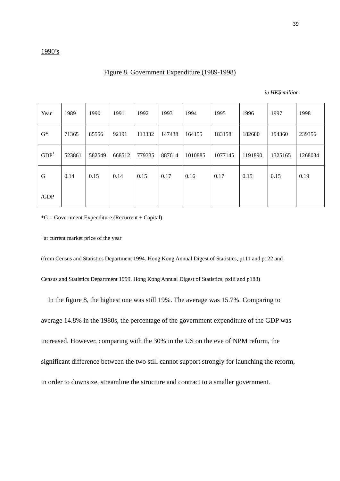#### Figure 8. Government Expenditure (1989-1998)

| in HK\$ million |  |
|-----------------|--|
|-----------------|--|

| Year             | 1989   | 1990   | 1991   | 1992   | 1993   | 1994    | 1995    | 1996    | 1997    | 1998    |
|------------------|--------|--------|--------|--------|--------|---------|---------|---------|---------|---------|
| $G^*$            | 71365  | 85556  | 92191  | 113332 | 147438 | 164155  | 183158  | 182680  | 194360  | 239356  |
| GDP <sup>1</sup> | 523861 | 582549 | 668512 | 779335 | 887614 | 1010885 | 1077145 | 1191890 | 1325165 | 1268034 |
| G                | 0.14   | 0.15   | 0.14   | 0.15   | 0.17   | 0.16    | 0.17    | 0.15    | 0.15    | 0.19    |
| /GDP             |        |        |        |        |        |         |         |         |         |         |

 $*G = Government\t Experiment (Recurrent + Capital)$ 

 $<sup>1</sup>$  at current market price of the year</sup>

(from Census and Statistics Department 1994. Hong Kong Annual Digest of Statistics, p111 and p122 and

Census and Statistics Department 1999. Hong Kong Annual Digest of Statistics, pxiii and p188)

 In the figure 8, the highest one was still 19%. The average was 15.7%. Comparing to average 14.8% in the 1980s, the percentage of the government expenditure of the GDP was increased. However, comparing with the 30% in the US on the eve of NPM reform, the significant difference between the two still cannot support strongly for launching the reform, in order to downsize, streamline the structure and contract to a smaller government.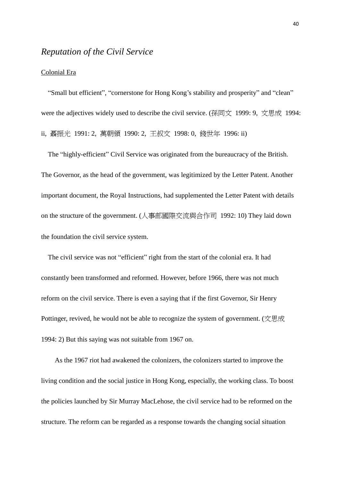### *Reputation of the Civil Service*

#### Colonial Era

 "Small but efficient", "cornerstone for Hong Kong's stability and prosperity" and "clean" were the adjectives widely used to describe the civil service. (孫同文 1999: 9, 文思成 1994: ii, 聶振光 1991: 2, 萬朝領 1990: 2, 王叔文 1998: 0, 錢世年 1996: ii)

 The "highly-efficient" Civil Service was originated from the bureaucracy of the British. The Governor, as the head of the government, was legitimized by the Letter Patent. Another important document, the Royal Instructions, had supplemented the Letter Patent with details on the structure of the government. (人事部國際交流與合作司 1992: 10) They laid down the foundation the civil service system.

 The civil service was not "efficient" right from the start of the colonial era. It had constantly been transformed and reformed. However, before 1966, there was not much reform on the civil service. There is even a saying that if the first Governor, Sir Henry Pottinger, revived, he would not be able to recognize the system of government. (文思成 1994: 2) But this saying was not suitable from 1967 on.

As the 1967 riot had awakened the colonizers, the colonizers started to improve the living condition and the social justice in Hong Kong, especially, the working class. To boost the policies launched by Sir Murray MacLehose, the civil service had to be reformed on the structure. The reform can be regarded as a response towards the changing social situation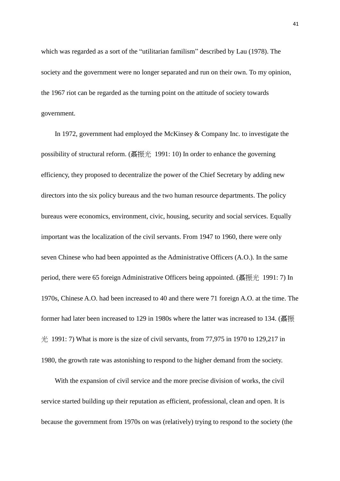which was regarded as a sort of the "utilitarian familism" described by Lau (1978). The society and the government were no longer separated and run on their own. To my opinion, the 1967 riot can be regarded as the turning point on the attitude of society towards government.

In 1972, government had employed the McKinsey & Company Inc. to investigate the possibility of structural reform. (聶振光 1991: 10) In order to enhance the governing efficiency, they proposed to decentralize the power of the Chief Secretary by adding new directors into the six policy bureaus and the two human resource departments. The policy bureaus were economics, environment, civic, housing, security and social services. Equally important was the localization of the civil servants. From 1947 to 1960, there were only seven Chinese who had been appointed as the Administrative Officers (A.O.). In the same period, there were 65 foreign Administrative Officers being appointed. (聶振光 1991: 7) In 1970s, Chinese A.O. had been increased to 40 and there were 71 foreign A.O. at the time. The former had later been increased to 129 in 1980s where the latter was increased to 134. (聶振  $\#$  1991: 7) What is more is the size of civil servants, from 77,975 in 1970 to 129,217 in 1980, the growth rate was astonishing to respond to the higher demand from the society.

With the expansion of civil service and the more precise division of works, the civil service started building up their reputation as efficient, professional, clean and open. It is because the government from 1970s on was (relatively) trying to respond to the society (the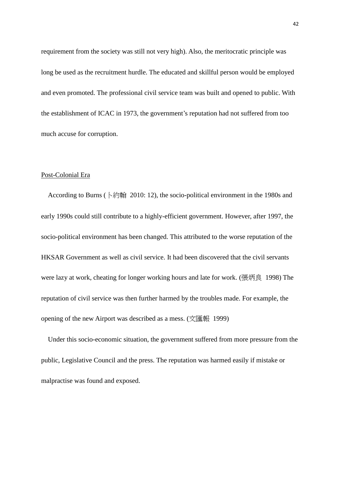requirement from the society was still not very high). Also, the meritocratic principle was long be used as the recruitment hurdle. The educated and skillful person would be employed and even promoted. The professional civil service team was built and opened to public. With the establishment of ICAC in 1973, the government's reputation had not suffered from too much accuse for corruption.

#### Post-Colonial Era

According to Burns (卜約翰 2010: 12), the socio-political environment in the 1980s and early 1990s could still contribute to a highly-efficient government. However, after 1997, the socio-political environment has been changed. This attributed to the worse reputation of the HKSAR Government as well as civil service. It had been discovered that the civil servants were lazy at work, cheating for longer working hours and late for work. (張炳良 1998) The reputation of civil service was then further harmed by the troubles made. For example, the opening of the new Airport was described as a mess. (文匯報 1999)

 Under this socio-economic situation, the government suffered from more pressure from the public, Legislative Council and the press. The reputation was harmed easily if mistake or malpractise was found and exposed.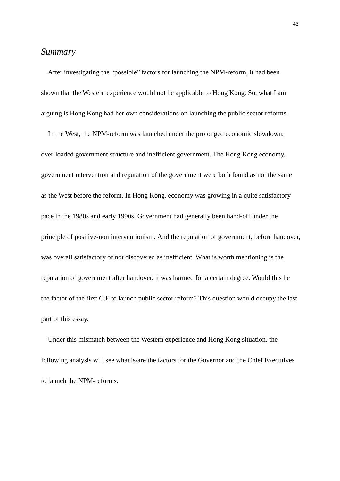### *Summary*

 After investigating the "possible" factors for launching the NPM-reform, it had been shown that the Western experience would not be applicable to Hong Kong. So, what I am arguing is Hong Kong had her own considerations on launching the public sector reforms.

 In the West, the NPM-reform was launched under the prolonged economic slowdown, over-loaded government structure and inefficient government. The Hong Kong economy, government intervention and reputation of the government were both found as not the same as the West before the reform. In Hong Kong, economy was growing in a quite satisfactory pace in the 1980s and early 1990s. Government had generally been hand-off under the principle of positive-non interventionism. And the reputation of government, before handover, was overall satisfactory or not discovered as inefficient. What is worth mentioning is the reputation of government after handover, it was harmed for a certain degree. Would this be the factor of the first C.E to launch public sector reform? This question would occupy the last part of this essay.

 Under this mismatch between the Western experience and Hong Kong situation, the following analysis will see what is/are the factors for the Governor and the Chief Executives to launch the NPM-reforms.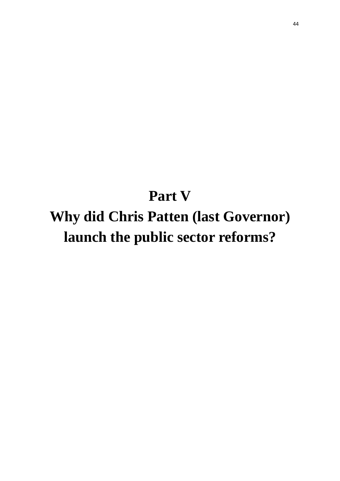# **Part V Why did Chris Patten (last Governor) launch the public sector reforms?**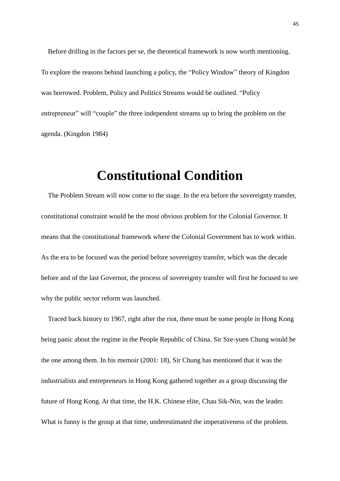Before drilling in the factors per se, the theoretical framework is now worth mentioning. To explore the reasons behind launching a policy, the "Policy Window" theory of Kingdon was borrowed. Problem, Policy and Politics Streams would be outlined. "Policy entrepreneur" will "couple" the three independent streams up to bring the problem on the agenda. (Kingdon 1984)

### **Constitutional Condition**

 The Problem Stream will now come to the stage. In the era before the sovereignty transfer, constitutional constraint would be the most obvious problem for the Colonial Governor. It means that the constitutional framework where the Colonial Government has to work within. As the era to be focused was the period before sovereignty transfer, which was the decade before and of the last Governor, the process of sovereignty transfer will first be focused to see why the public sector reform was launched.

 Traced back history to 1967, right after the riot, there must be some people in Hong Kong being panic about the regime in the People Republic of China. Sir Sze-yuen Chung would be the one among them. In his memoir (2001: 18), Sir Chung has mentioned that it was the industrialists and entrepreneurs in Hong Kong gathered together as a group discussing the future of Hong Kong. At that time, the H.K. Chinese elite, Chau Sik-Nin, was the leader. What is funny is the group at that time, underestimated the imperativeness of the problem.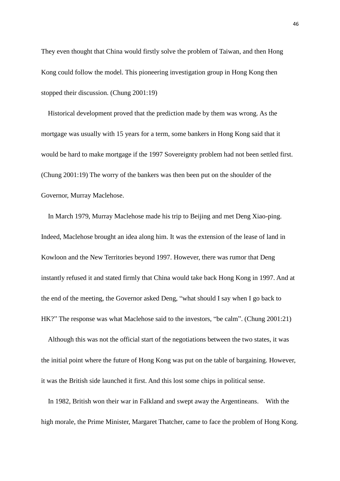They even thought that China would firstly solve the problem of Taiwan, and then Hong Kong could follow the model. This pioneering investigation group in Hong Kong then stopped their discussion. (Chung 2001:19)

 Historical development proved that the prediction made by them was wrong. As the mortgage was usually with 15 years for a term, some bankers in Hong Kong said that it would be hard to make mortgage if the 1997 Sovereignty problem had not been settled first. (Chung 2001:19) The worry of the bankers was then been put on the shoulder of the Governor, Murray Maclehose.

 In March 1979, Murray Maclehose made his trip to Beijing and met Deng Xiao-ping. Indeed, Maclehose brought an idea along him. It was the extension of the lease of land in Kowloon and the New Territories beyond 1997. However, there was rumor that Deng instantly refused it and stated firmly that China would take back Hong Kong in 1997. And at the end of the meeting, the Governor asked Deng, "what should I say when I go back to HK?" The response was what Maclehose said to the investors, "be calm". (Chung 2001:21)

 Although this was not the official start of the negotiations between the two states, it was the initial point where the future of Hong Kong was put on the table of bargaining. However, it was the British side launched it first. And this lost some chips in political sense.

 In 1982, British won their war in Falkland and swept away the Argentineans. With the high morale, the Prime Minister, Margaret Thatcher, came to face the problem of Hong Kong.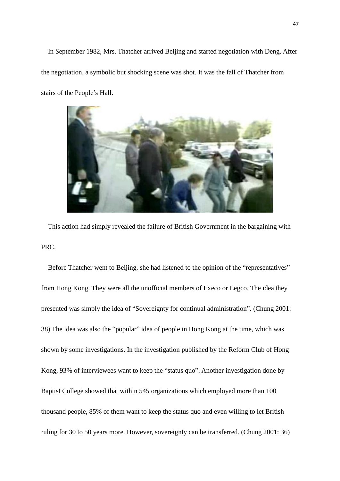In September 1982, Mrs. Thatcher arrived Beijing and started negotiation with Deng. After the negotiation, a symbolic but shocking scene was shot. It was the fall of Thatcher from stairs of the People's Hall.



 This action had simply revealed the failure of British Government in the bargaining with PRC.

 Before Thatcher went to Beijing, she had listened to the opinion of the "representatives" from Hong Kong. They were all the unofficial members of Execo or Legco. The idea they presented was simply the idea of "Sovereignty for continual administration". (Chung 2001: 38) The idea was also the "popular" idea of people in Hong Kong at the time, which was shown by some investigations. In the investigation published by the Reform Club of Hong Kong, 93% of interviewees want to keep the "status quo". Another investigation done by Baptist College showed that within 545 organizations which employed more than 100 thousand people, 85% of them want to keep the status quo and even willing to let British ruling for 30 to 50 years more. However, sovereignty can be transferred. (Chung 2001: 36)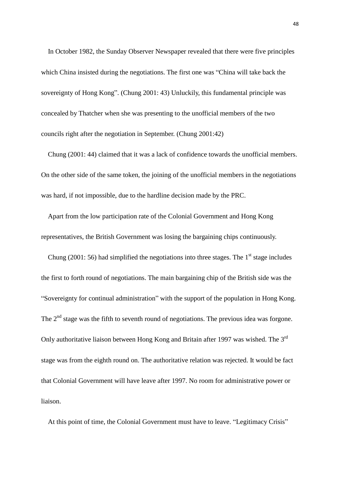In October 1982, the Sunday Observer Newspaper revealed that there were five principles which China insisted during the negotiations. The first one was "China will take back the sovereignty of Hong Kong". (Chung 2001: 43) Unluckily, this fundamental principle was concealed by Thatcher when she was presenting to the unofficial members of the two councils right after the negotiation in September. (Chung 2001:42)

 Chung (2001: 44) claimed that it was a lack of confidence towards the unofficial members. On the other side of the same token, the joining of the unofficial members in the negotiations was hard, if not impossible, due to the hardline decision made by the PRC.

 Apart from the low participation rate of the Colonial Government and Hong Kong representatives, the British Government was losing the bargaining chips continuously.

Chung (2001: 56) had simplified the negotiations into three stages. The  $1<sup>st</sup>$  stage includes the first to forth round of negotiations. The main bargaining chip of the British side was the "Sovereignty for continual administration" with the support of the population in Hong Kong. The  $2<sup>nd</sup>$  stage was the fifth to seventh round of negotiations. The previous idea was forgone. Only authoritative liaison between Hong Kong and Britain after 1997 was wished. The 3<sup>rd</sup> stage was from the eighth round on. The authoritative relation was rejected. It would be fact that Colonial Government will have leave after 1997. No room for administrative power or liaison.

At this point of time, the Colonial Government must have to leave. "Legitimacy Crisis"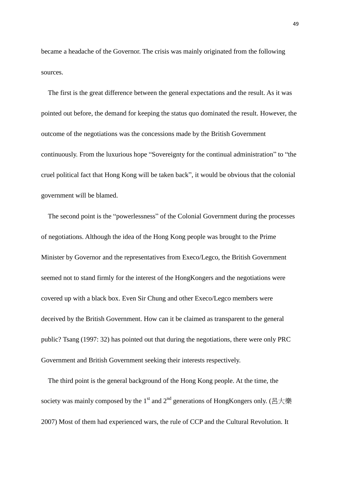became a headache of the Governor. The crisis was mainly originated from the following sources.

 The first is the great difference between the general expectations and the result. As it was pointed out before, the demand for keeping the status quo dominated the result. However, the outcome of the negotiations was the concessions made by the British Government continuously. From the luxurious hope "Sovereignty for the continual administration" to "the cruel political fact that Hong Kong will be taken back", it would be obvious that the colonial government will be blamed.

 The second point is the "powerlessness" of the Colonial Government during the processes of negotiations. Although the idea of the Hong Kong people was brought to the Prime Minister by Governor and the representatives from Execo/Legco, the British Government seemed not to stand firmly for the interest of the HongKongers and the negotiations were covered up with a black box. Even Sir Chung and other Execo/Legco members were deceived by the British Government. How can it be claimed as transparent to the general public? Tsang (1997: 32) has pointed out that during the negotiations, there were only PRC Government and British Government seeking their interests respectively.

 The third point is the general background of the Hong Kong people. At the time, the society was mainly composed by the 1<sup>st</sup> and 2<sup>nd</sup> generations of HongKongers only. (呂大樂 2007) Most of them had experienced wars, the rule of CCP and the Cultural Revolution. It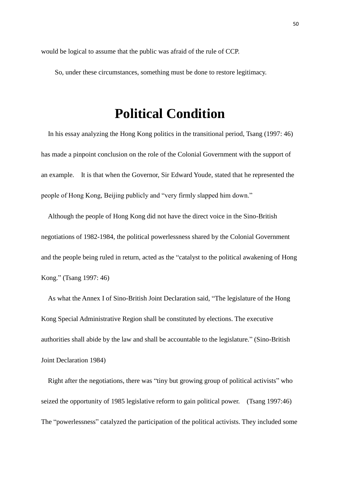would be logical to assume that the public was afraid of the rule of CCP.

So, under these circumstances, something must be done to restore legitimacy.

### **Political Condition**

 In his essay analyzing the Hong Kong politics in the transitional period, Tsang (1997: 46) has made a pinpoint conclusion on the role of the Colonial Government with the support of an example. It is that when the Governor, Sir Edward Youde, stated that he represented the people of Hong Kong, Beijing publicly and "very firmly slapped him down."

 Although the people of Hong Kong did not have the direct voice in the Sino-British negotiations of 1982-1984, the political powerlessness shared by the Colonial Government and the people being ruled in return, acted as the "catalyst to the political awakening of Hong Kong." (Tsang 1997: 46)

 As what the Annex I of Sino-British Joint Declaration said, "The legislature of the Hong Kong Special Administrative Region shall be constituted by elections. The executive authorities shall abide by the law and shall be accountable to the legislature." (Sino-British Joint Declaration 1984)

 Right after the negotiations, there was "tiny but growing group of political activists" who seized the opportunity of 1985 legislative reform to gain political power. (Tsang 1997:46) The "powerlessness" catalyzed the participation of the political activists. They included some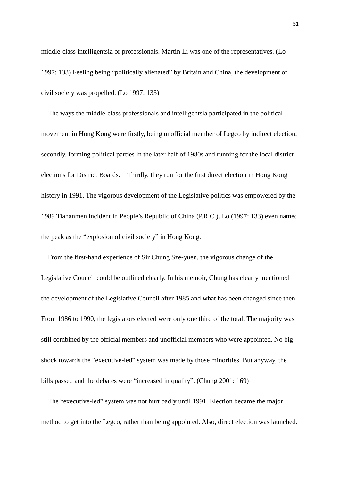middle-class intelligentsia or professionals. Martin Li was one of the representatives. (Lo 1997: 133) Feeling being "politically alienated" by Britain and China, the development of civil society was propelled. (Lo 1997: 133)

 The ways the middle-class professionals and intelligentsia participated in the political movement in Hong Kong were firstly, being unofficial member of Legco by indirect election, secondly, forming political parties in the later half of 1980s and running for the local district elections for District Boards. Thirdly, they run for the first direct election in Hong Kong history in 1991. The vigorous development of the Legislative politics was empowered by the 1989 Tiananmen incident in People's Republic of China (P.R.C.). Lo (1997: 133) even named the peak as the "explosion of civil society" in Hong Kong.

 From the first-hand experience of Sir Chung Sze-yuen, the vigorous change of the Legislative Council could be outlined clearly. In his memoir, Chung has clearly mentioned the development of the Legislative Council after 1985 and what has been changed since then. From 1986 to 1990, the legislators elected were only one third of the total. The majority was still combined by the official members and unofficial members who were appointed. No big shock towards the "executive-led" system was made by those minorities. But anyway, the bills passed and the debates were "increased in quality". (Chung 2001: 169)

 The "executive-led" system was not hurt badly until 1991. Election became the major method to get into the Legco, rather than being appointed. Also, direct election was launched.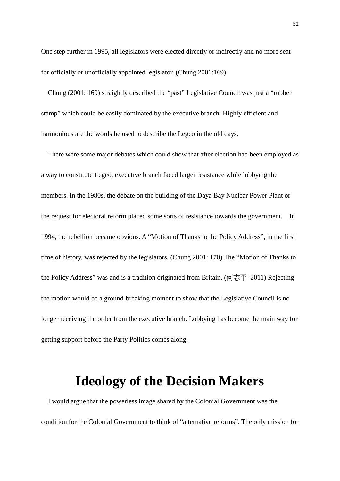One step further in 1995, all legislators were elected directly or indirectly and no more seat for officially or unofficially appointed legislator. (Chung 2001:169)

 Chung (2001: 169) straightly described the "past" Legislative Council was just a "rubber stamp" which could be easily dominated by the executive branch. Highly efficient and harmonious are the words he used to describe the Legco in the old days.

 There were some major debates which could show that after election had been employed as a way to constitute Legco, executive branch faced larger resistance while lobbying the members. In the 1980s, the debate on the building of the Daya Bay Nuclear Power Plant or the request for electoral reform placed some sorts of resistance towards the government. In 1994, the rebellion became obvious. A "Motion of Thanks to the Policy Address", in the first time of history, was rejected by the legislators. (Chung 2001: 170) The "Motion of Thanks to the Policy Address" was and is a tradition originated from Britain. (何志平 2011) Rejecting the motion would be a ground-breaking moment to show that the Legislative Council is no longer receiving the order from the executive branch. Lobbying has become the main way for getting support before the Party Politics comes along.

### **Ideology of the Decision Makers**

 I would argue that the powerless image shared by the Colonial Government was the condition for the Colonial Government to think of "alternative reforms". The only mission for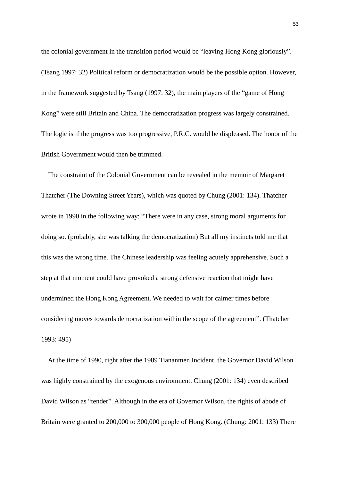the colonial government in the transition period would be "leaving Hong Kong gloriously". (Tsang 1997: 32) Political reform or democratization would be the possible option. However, in the framework suggested by Tsang (1997: 32), the main players of the "game of Hong Kong" were still Britain and China. The democratization progress was largely constrained. The logic is if the progress was too progressive, P.R.C. would be displeased. The honor of the British Government would then be trimmed.

 The constraint of the Colonial Government can be revealed in the memoir of Margaret Thatcher (The Downing Street Years), which was quoted by Chung (2001: 134). Thatcher wrote in 1990 in the following way: "There were in any case, strong moral arguments for doing so. (probably, she was talking the democratization) But all my instincts told me that this was the wrong time. The Chinese leadership was feeling acutely apprehensive. Such a step at that moment could have provoked a strong defensive reaction that might have undermined the Hong Kong Agreement. We needed to wait for calmer times before considering moves towards democratization within the scope of the agreement". (Thatcher 1993: 495)

 At the time of 1990, right after the 1989 Tiananmen Incident, the Governor David Wilson was highly constrained by the exogenous environment. Chung (2001: 134) even described David Wilson as "tender". Although in the era of Governor Wilson, the rights of abode of Britain were granted to 200,000 to 300,000 people of Hong Kong. (Chung: 2001: 133) There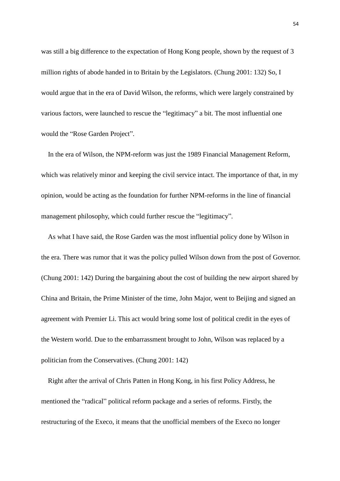was still a big difference to the expectation of Hong Kong people, shown by the request of 3 million rights of abode handed in to Britain by the Legislators. (Chung 2001: 132) So, I would argue that in the era of David Wilson, the reforms, which were largely constrained by various factors, were launched to rescue the "legitimacy" a bit. The most influential one would the "Rose Garden Project".

 In the era of Wilson, the NPM-reform was just the 1989 Financial Management Reform, which was relatively minor and keeping the civil service intact. The importance of that, in my opinion, would be acting as the foundation for further NPM-reforms in the line of financial management philosophy, which could further rescue the "legitimacy".

 As what I have said, the Rose Garden was the most influential policy done by Wilson in the era. There was rumor that it was the policy pulled Wilson down from the post of Governor. (Chung 2001: 142) During the bargaining about the cost of building the new airport shared by China and Britain, the Prime Minister of the time, John Major, went to Beijing and signed an agreement with Premier Li. This act would bring some lost of political credit in the eyes of the Western world. Due to the embarrassment brought to John, Wilson was replaced by a politician from the Conservatives. (Chung 2001: 142)

 Right after the arrival of Chris Patten in Hong Kong, in his first Policy Address, he mentioned the "radical" political reform package and a series of reforms. Firstly, the restructuring of the Execo, it means that the unofficial members of the Execo no longer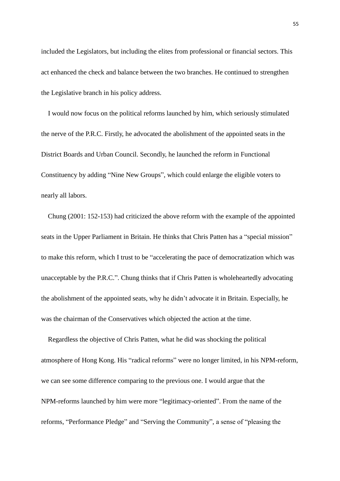included the Legislators, but including the elites from professional or financial sectors. This act enhanced the check and balance between the two branches. He continued to strengthen the Legislative branch in his policy address.

 I would now focus on the political reforms launched by him, which seriously stimulated the nerve of the P.R.C. Firstly, he advocated the abolishment of the appointed seats in the District Boards and Urban Council. Secondly, he launched the reform in Functional Constituency by adding "Nine New Groups", which could enlarge the eligible voters to nearly all labors.

 Chung (2001: 152-153) had criticized the above reform with the example of the appointed seats in the Upper Parliament in Britain. He thinks that Chris Patten has a "special mission" to make this reform, which I trust to be "accelerating the pace of democratization which was unacceptable by the P.R.C.". Chung thinks that if Chris Patten is wholeheartedly advocating the abolishment of the appointed seats, why he didn't advocate it in Britain. Especially, he was the chairman of the Conservatives which objected the action at the time.

 Regardless the objective of Chris Patten, what he did was shocking the political atmosphere of Hong Kong. His "radical reforms" were no longer limited, in his NPM-reform, we can see some difference comparing to the previous one. I would argue that the NPM-reforms launched by him were more "legitimacy-oriented". From the name of the reforms, "Performance Pledge" and "Serving the Community", a sense of "pleasing the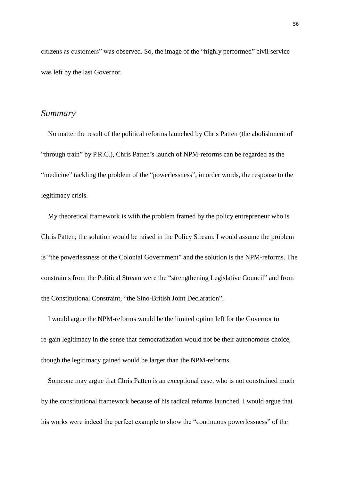citizens as customers" was observed. So, the image of the "highly performed" civil service was left by the last Governor.

### *Summary*

 No matter the result of the political reforms launched by Chris Patten (the abolishment of "through train" by P.R.C.), Chris Patten's launch of NPM-reforms can be regarded as the "medicine" tackling the problem of the "powerlessness", in order words, the response to the legitimacy crisis.

 My theoretical framework is with the problem framed by the policy entrepreneur who is Chris Patten; the solution would be raised in the Policy Stream. I would assume the problem is "the powerlessness of the Colonial Government" and the solution is the NPM-reforms. The constraints from the Political Stream were the "strengthening Legislative Council" and from the Constitutional Constraint, "the Sino-British Joint Declaration".

 I would argue the NPM-reforms would be the limited option left for the Governor to re-gain legitimacy in the sense that democratization would not be their autonomous choice, though the legitimacy gained would be larger than the NPM-reforms.

 Someone may argue that Chris Patten is an exceptional case, who is not constrained much by the constitutional framework because of his radical reforms launched. I would argue that his works were indeed the perfect example to show the "continuous powerlessness" of the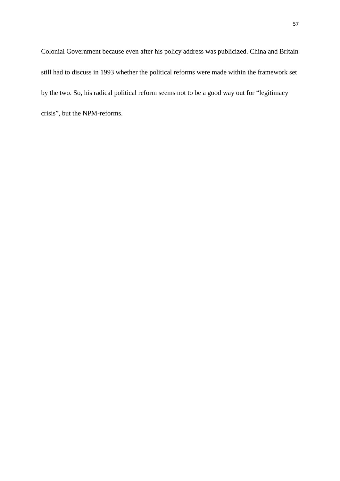Colonial Government because even after his policy address was publicized. China and Britain still had to discuss in 1993 whether the political reforms were made within the framework set by the two. So, his radical political reform seems not to be a good way out for "legitimacy crisis", but the NPM-reforms.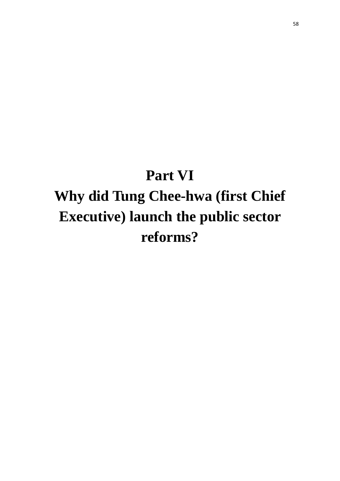# **Part VI Why did Tung Chee-hwa (first Chief**

# **Executive) launch the public sector reforms?**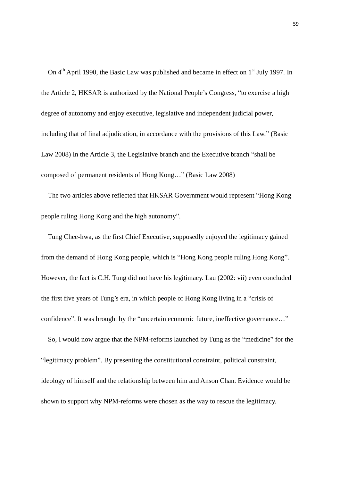On  $4<sup>th</sup>$  April 1990, the Basic Law was published and became in effect on  $1<sup>st</sup>$  July 1997. In the Article 2, HKSAR is authorized by the National People's Congress, "to exercise a high degree of autonomy and enjoy executive, legislative and independent judicial power, including that of final adjudication, in accordance with the provisions of this Law." (Basic Law 2008) In the Article 3, the Legislative branch and the Executive branch "shall be composed of permanent residents of Hong Kong…" (Basic Law 2008)

 The two articles above reflected that HKSAR Government would represent "Hong Kong people ruling Hong Kong and the high autonomy".

 Tung Chee-hwa, as the first Chief Executive, supposedly enjoyed the legitimacy gained from the demand of Hong Kong people, which is "Hong Kong people ruling Hong Kong". However, the fact is C.H. Tung did not have his legitimacy. Lau (2002: vii) even concluded the first five years of Tung's era, in which people of Hong Kong living in a "crisis of confidence". It was brought by the "uncertain economic future, ineffective governance…"

 So, I would now argue that the NPM-reforms launched by Tung as the "medicine" for the "legitimacy problem". By presenting the constitutional constraint, political constraint, ideology of himself and the relationship between him and Anson Chan. Evidence would be shown to support why NPM-reforms were chosen as the way to rescue the legitimacy.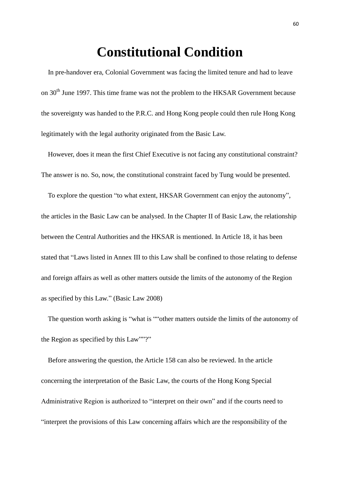### **Constitutional Condition**

 In pre-handover era, Colonial Government was facing the limited tenure and had to leave on 30<sup>th</sup> June 1997. This time frame was not the problem to the HKSAR Government because the sovereignty was handed to the P.R.C. and Hong Kong people could then rule Hong Kong legitimately with the legal authority originated from the Basic Law.

However, does it mean the first Chief Executive is not facing any constitutional constraint? The answer is no. So, now, the constitutional constraint faced by Tung would be presented.

To explore the question "to what extent, HKSAR Government can enjoy the autonomy", the articles in the Basic Law can be analysed. In the Chapter II of Basic Law, the relationship between the Central Authorities and the HKSAR is mentioned. In Article 18, it has been stated that "Laws listed in Annex III to this Law shall be confined to those relating to defense and foreign affairs as well as other matters outside the limits of the autonomy of the Region as specified by this Law." (Basic Law 2008)

 The question worth asking is "what is ""other matters outside the limits of the autonomy of the Region as specified by this Law""?"

 Before answering the question, the Article 158 can also be reviewed. In the article concerning the interpretation of the Basic Law, the courts of the Hong Kong Special Administrative Region is authorized to "interpret on their own" and if the courts need to "interpret the provisions of this Law concerning affairs which are the responsibility of the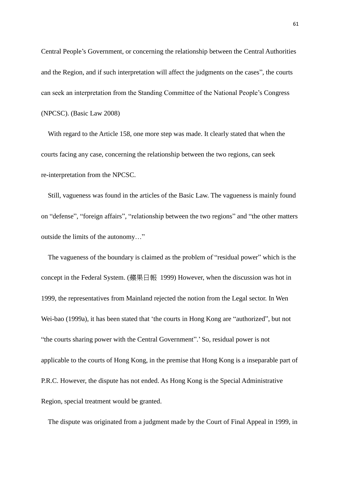Central People's Government, or concerning the relationship between the Central Authorities and the Region, and if such interpretation will affect the judgments on the cases", the courts can seek an interpretation from the Standing Committee of the National People's Congress (NPCSC). (Basic Law 2008)

 With regard to the Article 158, one more step was made. It clearly stated that when the courts facing any case, concerning the relationship between the two regions, can seek re-interpretation from the NPCSC.

 Still, vagueness was found in the articles of the Basic Law. The vagueness is mainly found on "defense", "foreign affairs", "relationship between the two regions" and "the other matters outside the limits of the autonomy…"

 The vagueness of the boundary is claimed as the problem of "residual power" which is the concept in the Federal System. (蘋果日報 1999) However, when the discussion was hot in 1999, the representatives from Mainland rejected the notion from the Legal sector. In Wen Wei-bao (1999a), it has been stated that 'the courts in Hong Kong are "authorized", but not "the courts sharing power with the Central Government".' So, residual power is not applicable to the courts of Hong Kong, in the premise that Hong Kong is a inseparable part of P.R.C. However, the dispute has not ended. As Hong Kong is the Special Administrative Region, special treatment would be granted.

The dispute was originated from a judgment made by the Court of Final Appeal in 1999, in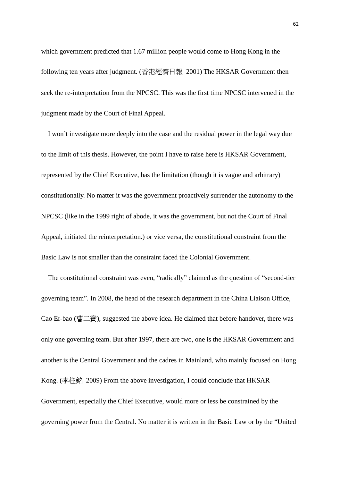which government predicted that 1.67 million people would come to Hong Kong in the following ten years after judgment. (香港經濟日報 2001) The HKSAR Government then seek the re-interpretation from the NPCSC. This was the first time NPCSC intervened in the judgment made by the Court of Final Appeal.

 I won't investigate more deeply into the case and the residual power in the legal way due to the limit of this thesis. However, the point I have to raise here is HKSAR Government, represented by the Chief Executive, has the limitation (though it is vague and arbitrary) constitutionally. No matter it was the government proactively surrender the autonomy to the NPCSC (like in the 1999 right of abode, it was the government, but not the Court of Final Appeal, initiated the reinterpretation.) or vice versa, the constitutional constraint from the Basic Law is not smaller than the constraint faced the Colonial Government.

 The constitutional constraint was even, "radically" claimed as the question of "second-tier governing team". In 2008, the head of the research department in the China Liaison Office, Cao Er-bao (曹二寶), suggested the above idea. He claimed that before handover, there was only one governing team. But after 1997, there are two, one is the HKSAR Government and another is the Central Government and the cadres in Mainland, who mainly focused on Hong Kong. (李柱銘 2009) From the above investigation, I could conclude that HKSAR Government, especially the Chief Executive, would more or less be constrained by the governing power from the Central. No matter it is written in the Basic Law or by the "United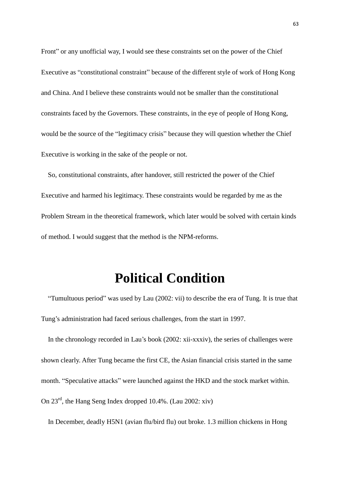Front" or any unofficial way, I would see these constraints set on the power of the Chief Executive as "constitutional constraint" because of the different style of work of Hong Kong and China. And I believe these constraints would not be smaller than the constitutional constraints faced by the Governors. These constraints, in the eye of people of Hong Kong, would be the source of the "legitimacy crisis" because they will question whether the Chief Executive is working in the sake of the people or not.

 So, constitutional constraints, after handover, still restricted the power of the Chief Executive and harmed his legitimacy. These constraints would be regarded by me as the Problem Stream in the theoretical framework, which later would be solved with certain kinds of method. I would suggest that the method is the NPM-reforms.

### **Political Condition**

"Tumultuous period" was used by Lau (2002: vii) to describe the era of Tung. It is true that Tung's administration had faced serious challenges, from the start in 1997.

 In the chronology recorded in Lau's book (2002: xii-xxxiv), the series of challenges were shown clearly. After Tung became the first CE, the Asian financial crisis started in the same month. "Speculative attacks" were launched against the HKD and the stock market within. On 23rd, the Hang Seng Index dropped 10.4%. (Lau 2002: xiv)

In December, deadly H5N1 (avian flu/bird flu) out broke. 1.3 million chickens in Hong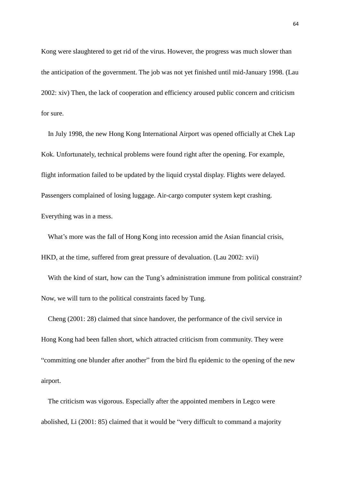Kong were slaughtered to get rid of the virus. However, the progress was much slower than the anticipation of the government. The job was not yet finished until mid-January 1998. (Lau 2002: xiv) Then, the lack of cooperation and efficiency aroused public concern and criticism for sure.

 In July 1998, the new Hong Kong International Airport was opened officially at Chek Lap Kok. Unfortunately, technical problems were found right after the opening. For example, flight information failed to be updated by the liquid crystal display. Flights were delayed. Passengers complained of losing luggage. Air-cargo computer system kept crashing. Everything was in a mess.

 What's more was the fall of Hong Kong into recession amid the Asian financial crisis, HKD, at the time, suffered from great pressure of devaluation. (Lau 2002: xvii)

With the kind of start, how can the Tung's administration immune from political constraint? Now, we will turn to the political constraints faced by Tung.

 Cheng (2001: 28) claimed that since handover, the performance of the civil service in Hong Kong had been fallen short, which attracted criticism from community. They were "committing one blunder after another" from the bird flu epidemic to the opening of the new airport.

 The criticism was vigorous. Especially after the appointed members in Legco were abolished, Li (2001: 85) claimed that it would be "very difficult to command a majority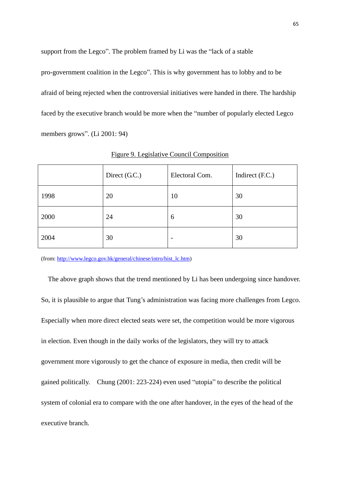support from the Legco". The problem framed by Li was the "lack of a stable pro-government coalition in the Legco". This is why government has to lobby and to be afraid of being rejected when the controversial initiatives were handed in there. The hardship faced by the executive branch would be more when the "number of popularly elected Legco members grows". (Li 2001: 94)

|      | Direct (G.C.) | Electoral Com.           | Indirect (F.C.) |
|------|---------------|--------------------------|-----------------|
| 1998 | 20            | 10                       | 30              |
| 2000 | 24            | 6                        | 30              |
| 2004 | 30            | $\overline{\phantom{0}}$ | 30              |

Figure 9. Legislative Council Composition

(from: [http://www.legco.gov.hk/general/chinese/intro/hist\\_lc.htm\)](http://www.legco.gov.hk/general/chinese/intro/hist_lc.htm)

 The above graph shows that the trend mentioned by Li has been undergoing since handover. So, it is plausible to argue that Tung's administration was facing more challenges from Legco. Especially when more direct elected seats were set, the competition would be more vigorous in election. Even though in the daily works of the legislators, they will try to attack government more vigorously to get the chance of exposure in media, then credit will be gained politically. Chung (2001: 223-224) even used "utopia" to describe the political system of colonial era to compare with the one after handover, in the eyes of the head of the executive branch.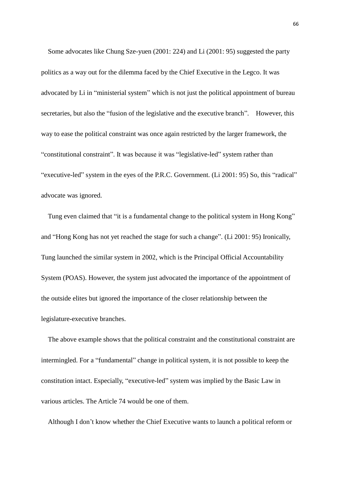Some advocates like Chung Sze-yuen (2001: 224) and Li (2001: 95) suggested the party politics as a way out for the dilemma faced by the Chief Executive in the Legco. It was advocated by Li in "ministerial system" which is not just the political appointment of bureau secretaries, but also the "fusion of the legislative and the executive branch". However, this way to ease the political constraint was once again restricted by the larger framework, the "constitutional constraint". It was because it was "legislative-led" system rather than "executive-led" system in the eyes of the P.R.C. Government. (Li 2001: 95) So, this "radical" advocate was ignored.

Tung even claimed that "it is a fundamental change to the political system in Hong Kong" and "Hong Kong has not yet reached the stage for such a change". (Li 2001: 95) Ironically, Tung launched the similar system in 2002, which is the Principal Official Accountability System (POAS). However, the system just advocated the importance of the appointment of the outside elites but ignored the importance of the closer relationship between the legislature-executive branches.

 The above example shows that the political constraint and the constitutional constraint are intermingled. For a "fundamental" change in political system, it is not possible to keep the constitution intact. Especially, "executive-led" system was implied by the Basic Law in various articles. The Article 74 would be one of them.

Although I don't know whether the Chief Executive wants to launch a political reform or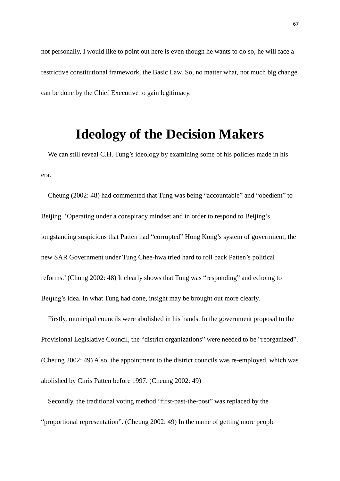not personally, I would like to point out here is even though he wants to do so, he will face a restrictive constitutional framework, the Basic Law. So, no matter what, not much big change can be done by the Chief Executive to gain legitimacy.

### **Ideology of the Decision Makers**

We can still reveal C.H. Tung's ideology by examining some of his policies made in his era.

 Cheung (2002: 48) had commented that Tung was being "accountable" and "obedient" to Beijing. 'Operating under a conspiracy mindset and in order to respond to Beijing's longstanding suspicions that Patten had "corrupted" Hong Kong's system of government, the new SAR Government under Tung Chee-hwa tried hard to roll back Patten's political reforms.' (Chung 2002: 48) It clearly shows that Tung was "responding" and echoing to Beijing's idea. In what Tung had done, insight may be brought out more clearly.

 Firstly, municipal councils were abolished in his hands. In the government proposal to the Provisional Legislative Council, the "district organizations" were needed to be "reorganized". (Cheung 2002: 49) Also, the appointment to the district councils was re-employed, which was abolished by Chris Patten before 1997. (Cheung 2002: 49)

 Secondly, the traditional voting method "first-past-the-post" was replaced by the "proportional representation". (Cheung 2002: 49) In the name of getting more people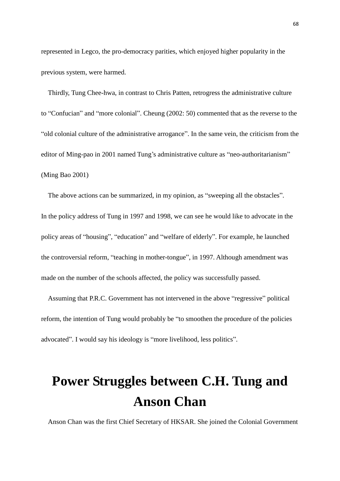represented in Legco, the pro-democracy parities, which enjoyed higher popularity in the previous system, were harmed.

 Thirdly, Tung Chee-hwa, in contrast to Chris Patten, retrogress the administrative culture to "Confucian" and "more colonial". Cheung (2002: 50) commented that as the reverse to the "old colonial culture of the administrative arrogance". In the same vein, the criticism from the editor of Ming-pao in 2001 named Tung's administrative culture as "neo-authoritarianism" (Ming Bao 2001)

 The above actions can be summarized, in my opinion, as "sweeping all the obstacles". In the policy address of Tung in 1997 and 1998, we can see he would like to advocate in the policy areas of "housing", "education" and "welfare of elderly". For example, he launched the controversial reform, "teaching in mother-tongue", in 1997. Although amendment was made on the number of the schools affected, the policy was successfully passed.

 Assuming that P.R.C. Government has not intervened in the above "regressive" political reform, the intention of Tung would probably be "to smoothen the procedure of the policies advocated". I would say his ideology is "more livelihood, less politics".

## **Power Struggles between C.H. Tung and Anson Chan**

Anson Chan was the first Chief Secretary of HKSAR. She joined the Colonial Government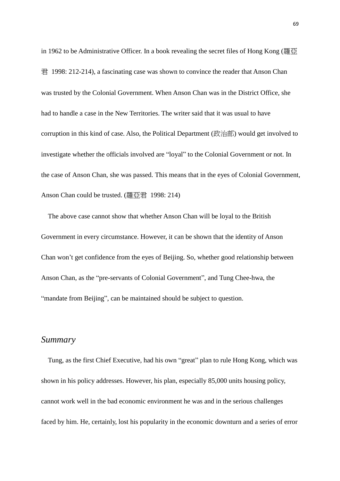in 1962 to be Administrative Officer. In a book revealing the secret files of Hong Kong (羅亞 君 1998: 212-214), a fascinating case was shown to convince the reader that Anson Chan was trusted by the Colonial Government. When Anson Chan was in the District Office, she had to handle a case in the New Territories. The writer said that it was usual to have corruption in this kind of case. Also, the Political Department (政治部) would get involved to investigate whether the officials involved are "loyal" to the Colonial Government or not. In the case of Anson Chan, she was passed. This means that in the eyes of Colonial Government, Anson Chan could be trusted. (羅亞君 1998: 214)

 The above case cannot show that whether Anson Chan will be loyal to the British Government in every circumstance. However, it can be shown that the identity of Anson Chan won't get confidence from the eyes of Beijing. So, whether good relationship between Anson Chan, as the "pre-servants of Colonial Government", and Tung Chee-hwa, the "mandate from Beijing", can be maintained should be subject to question.

#### *Summary*

 Tung, as the first Chief Executive, had his own "great" plan to rule Hong Kong, which was shown in his policy addresses. However, his plan, especially 85,000 units housing policy, cannot work well in the bad economic environment he was and in the serious challenges faced by him. He, certainly, lost his popularity in the economic downturn and a series of error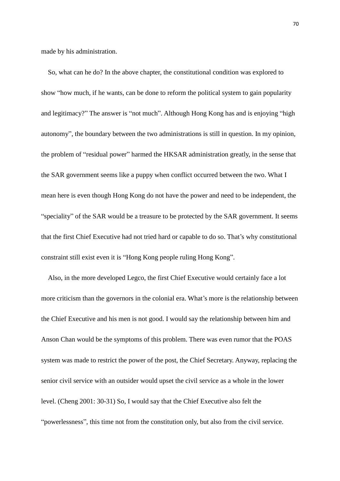made by his administration.

 So, what can he do? In the above chapter, the constitutional condition was explored to show "how much, if he wants, can be done to reform the political system to gain popularity and legitimacy?" The answer is "not much". Although Hong Kong has and is enjoying "high autonomy", the boundary between the two administrations is still in question. In my opinion, the problem of "residual power" harmed the HKSAR administration greatly, in the sense that the SAR government seems like a puppy when conflict occurred between the two. What I mean here is even though Hong Kong do not have the power and need to be independent, the "speciality" of the SAR would be a treasure to be protected by the SAR government. It seems that the first Chief Executive had not tried hard or capable to do so. That's why constitutional constraint still exist even it is "Hong Kong people ruling Hong Kong".

 Also, in the more developed Legco, the first Chief Executive would certainly face a lot more criticism than the governors in the colonial era. What's more is the relationship between the Chief Executive and his men is not good. I would say the relationship between him and Anson Chan would be the symptoms of this problem. There was even rumor that the POAS system was made to restrict the power of the post, the Chief Secretary. Anyway, replacing the senior civil service with an outsider would upset the civil service as a whole in the lower level. (Cheng 2001: 30-31) So, I would say that the Chief Executive also felt the "powerlessness", this time not from the constitution only, but also from the civil service.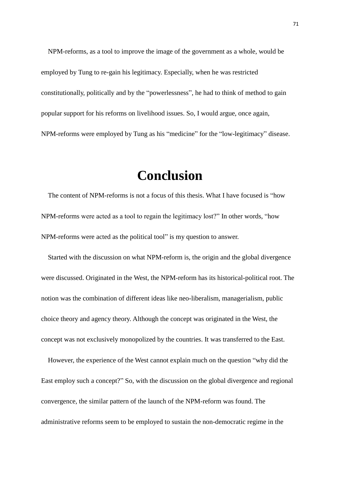NPM-reforms, as a tool to improve the image of the government as a whole, would be employed by Tung to re-gain his legitimacy. Especially, when he was restricted constitutionally, politically and by the "powerlessness", he had to think of method to gain popular support for his reforms on livelihood issues. So, I would argue, once again, NPM-reforms were employed by Tung as his "medicine" for the "low-legitimacy" disease.

## **Conclusion**

 The content of NPM-reforms is not a focus of this thesis. What I have focused is "how NPM-reforms were acted as a tool to regain the legitimacy lost?" In other words, "how NPM-reforms were acted as the political tool" is my question to answer.

 Started with the discussion on what NPM-reform is, the origin and the global divergence were discussed. Originated in the West, the NPM-reform has its historical-political root. The notion was the combination of different ideas like neo-liberalism, managerialism, public choice theory and agency theory. Although the concept was originated in the West, the concept was not exclusively monopolized by the countries. It was transferred to the East.

 However, the experience of the West cannot explain much on the question "why did the East employ such a concept?" So, with the discussion on the global divergence and regional convergence, the similar pattern of the launch of the NPM-reform was found. The administrative reforms seem to be employed to sustain the non-democratic regime in the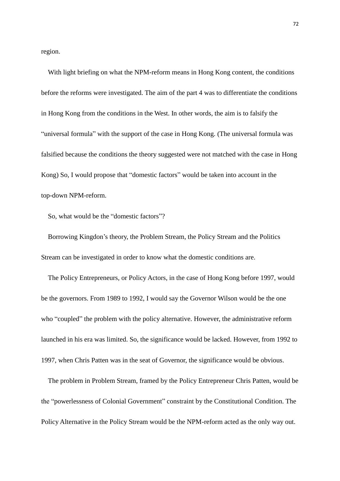region.

With light briefing on what the NPM-reform means in Hong Kong content, the conditions before the reforms were investigated. The aim of the part 4 was to differentiate the conditions in Hong Kong from the conditions in the West. In other words, the aim is to falsify the "universal formula" with the support of the case in Hong Kong. (The universal formula was falsified because the conditions the theory suggested were not matched with the case in Hong Kong) So, I would propose that "domestic factors" would be taken into account in the top-down NPM-reform.

So, what would be the "domestic factors"?

Borrowing Kingdon's theory, the Problem Stream, the Policy Stream and the Politics Stream can be investigated in order to know what the domestic conditions are.

The Policy Entrepreneurs, or Policy Actors, in the case of Hong Kong before 1997, would be the governors. From 1989 to 1992, I would say the Governor Wilson would be the one who "coupled" the problem with the policy alternative. However, the administrative reform launched in his era was limited. So, the significance would be lacked. However, from 1992 to 1997, when Chris Patten was in the seat of Governor, the significance would be obvious.

The problem in Problem Stream, framed by the Policy Entrepreneur Chris Patten, would be the "powerlessness of Colonial Government" constraint by the Constitutional Condition. The Policy Alternative in the Policy Stream would be the NPM-reform acted as the only way out.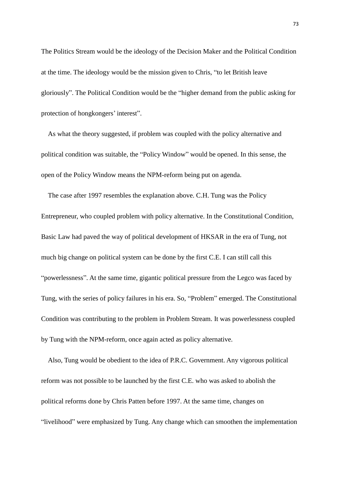The Politics Stream would be the ideology of the Decision Maker and the Political Condition at the time. The ideology would be the mission given to Chris, "to let British leave gloriously". The Political Condition would be the "higher demand from the public asking for protection of hongkongers' interest".

As what the theory suggested, if problem was coupled with the policy alternative and political condition was suitable, the "Policy Window" would be opened. In this sense, the open of the Policy Window means the NPM-reform being put on agenda.

The case after 1997 resembles the explanation above. C.H. Tung was the Policy Entrepreneur, who coupled problem with policy alternative. In the Constitutional Condition, Basic Law had paved the way of political development of HKSAR in the era of Tung, not much big change on political system can be done by the first C.E. I can still call this "powerlessness". At the same time, gigantic political pressure from the Legco was faced by Tung, with the series of policy failures in his era. So, "Problem" emerged. The Constitutional Condition was contributing to the problem in Problem Stream. It was powerlessness coupled by Tung with the NPM-reform, once again acted as policy alternative.

Also, Tung would be obedient to the idea of P.R.C. Government. Any vigorous political reform was not possible to be launched by the first C.E. who was asked to abolish the political reforms done by Chris Patten before 1997. At the same time, changes on "livelihood" were emphasized by Tung. Any change which can smoothen the implementation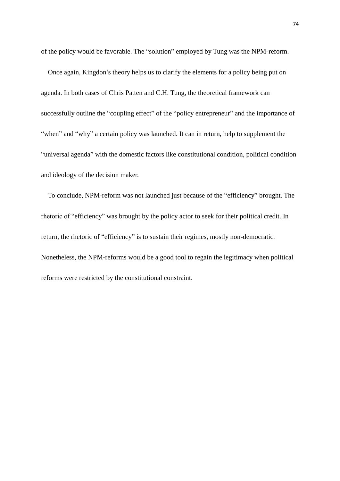of the policy would be favorable. The "solution" employed by Tung was the NPM-reform.

Once again, Kingdon's theory helps us to clarify the elements for a policy being put on agenda. In both cases of Chris Patten and C.H. Tung, the theoretical framework can successfully outline the "coupling effect" of the "policy entrepreneur" and the importance of "when" and "why" a certain policy was launched. It can in return, help to supplement the "universal agenda" with the domestic factors like constitutional condition, political condition and ideology of the decision maker.

To conclude, NPM-reform was not launched just because of the "efficiency" brought. The rhetoric of "efficiency" was brought by the policy actor to seek for their political credit. In return, the rhetoric of "efficiency" is to sustain their regimes, mostly non-democratic. Nonetheless, the NPM-reforms would be a good tool to regain the legitimacy when political reforms were restricted by the constitutional constraint.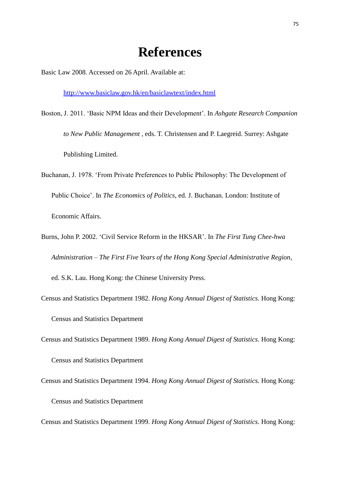## **References**

Basic Law 2008. Accessed on 26 April. Available at:

<http://www.basiclaw.gov.hk/en/basiclawtext/index.html>

- Boston, J. 2011. 'Basic NPM Ideas and their Development'. In *Ashgate Research Companion to New Public Management* , eds. T. Christensen and P. Laegreid. Surrey: Ashgate Publishing Limited.
- Buchanan, J. 1978. 'From Private Preferences to Public Philosophy: The Development of Public Choice'. In *The Economics of Politics*, ed. J. Buchanan. London: Institute of Economic Affairs.
- Burns, John P. 2002. 'Civil Service Reform in the HKSAR'. In *The First Tung Chee-hwa Administration – The First Five Years of the Hong Kong Special Administrative Region*, ed. S.K. Lau. Hong Kong: the Chinese University Press.
- Census and Statistics Department 1982. *Hong Kong Annual Digest of Statistics*. Hong Kong: Census and Statistics Department
- Census and Statistics Department 1989. *Hong Kong Annual Digest of Statistics*. Hong Kong: Census and Statistics Department
- Census and Statistics Department 1994. *Hong Kong Annual Digest of Statistics*. Hong Kong: Census and Statistics Department

Census and Statistics Department 1999. *Hong Kong Annual Digest of Statistics*. Hong Kong: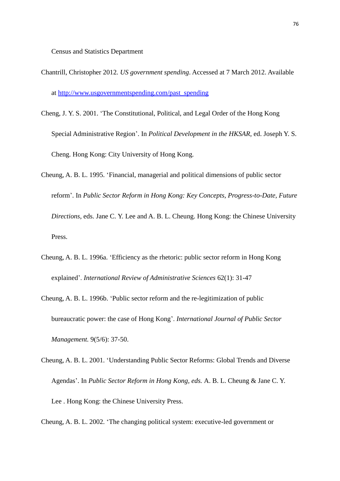Census and Statistics Department

- Chantrill, Christopher 2012*. US government spending*. Accessed at 7 March 2012. Available at [http://www.usgovernmentspending.com/past\\_spending](http://www.usgovernmentspending.com/past_spending)
- Cheng, J. Y. S. 2001. 'The Constitutional, Political, and Legal Order of the Hong Kong Special Administrative Region'. In *Political Development in the HKSAR*, ed. Joseph Y. S. Cheng. Hong Kong: City University of Hong Kong.
- Cheung, A. B. L. 1995. 'Financial, managerial and political dimensions of public sector reform'. In *Public Sector Reform in Hong Kong: Key Concepts, Progress-to-Date, Future Directions*, eds. Jane C. Y. Lee and A. B. L. Cheung. Hong Kong: the Chinese University Press.
- Cheung, A. B. L. 1996a. 'Efficiency as the rhetoric: public sector reform in Hong Kong explained'. *International Review of Administrative Sciences* 62(1): 31-47
- Cheung, A. B. L. 1996b. 'Public sector reform and the re-legitimization of public bureaucratic power: the case of Hong Kong'. *International Journal of Public Sector Management.* 9(5/6): 37-50.
- Cheung, A. B. L. 2001. 'Understanding Public Sector Reforms: Global Trends and Diverse Agendas'. In *Public Sector Reform in Hong Kong, eds.* A. B. L. Cheung & Jane C. Y. Lee . Hong Kong: the Chinese University Press.
- Cheung, A. B. L. 2002. 'The changing political system: executive-led government or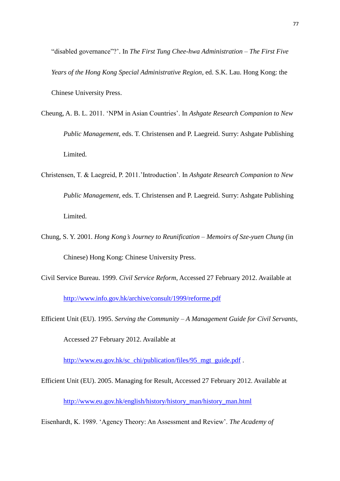"disabled governance"?'. In *The First Tung Chee-hwa Administration – The First Five Years of the Hong Kong Special Administrative Region*, ed. S.K. Lau. Hong Kong: the Chinese University Press.

- Cheung, A. B. L. 2011. 'NPM in Asian Countries'. In *Ashgate Research Companion to New Public Management*, eds. T. Christensen and P. Laegreid. Surry: Ashgate Publishing Limited.
- Christensen, T. & Laegreid, P. 2011.'Introduction'. In *Ashgate Research Companion to New Public Management*, eds. T. Christensen and P. Laegreid. Surry: Ashgate Publishing Limited.
- Chung, S. Y. 2001. *Hong Kong's Journey to Reunification – Memoirs of Sze-yuen Chung* (in Chinese) Hong Kong: Chinese University Press.
- Civil Service Bureau. 1999. *Civil Service Reform*, Accessed 27 February 2012. Available at

<http://www.info.gov.hk/archive/consult/1999/reforme.pdf>

Efficient Unit (EU). 1995. *Serving the Community – A Management Guide for Civil Servants*,

Accessed 27 February 2012. Available at

[http://www.eu.gov.hk/sc\\_chi/publication/files/95\\_mgt\\_guide.pdf](http://www.eu.gov.hk/sc_chi/publication/files/95_mgt_guide.pdf) .

Efficient Unit (EU). 2005. Managing for Result, Accessed 27 February 2012. Available at

[http://www.eu.gov.hk/english/history/history\\_man/history\\_man.html](http://www.eu.gov.hk/english/history/history_man/history_man.html)

Eisenhardt, K. 1989. 'Agency Theory: An Assessment and Review'. *The Academy of*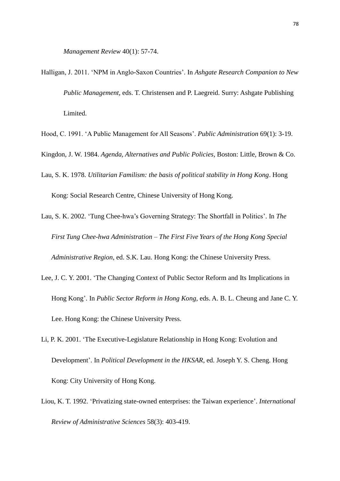*Management Review* 40(1): 57-74.

- Halligan, J. 2011. 'NPM in Anglo-Saxon Countries'. In *Ashgate Research Companion to New Public Management*, eds. T. Christensen and P. Laegreid. Surry: Ashgate Publishing Limited.
- Hood, C. 1991. 'A Public Management for All Seasons'. *Public Administration* 69(1): 3-19.
- Kingdon, J. W. 1984. *Agenda, Alternatives and Public Policies*, Boston: Little, Brown & Co.
- Lau, S. K. 1978. *Utilitarian Familism: the basis of political stability in Hong Kong*. Hong Kong: Social Research Centre, Chinese University of Hong Kong.
- Lau, S. K. 2002. 'Tung Chee-hwa's Governing Strategy: The Shortfall in Politics'. In *The First Tung Chee-hwa Administration – The First Five Years of the Hong Kong Special Administrative Region*, ed. S.K. Lau. Hong Kong: the Chinese University Press.
- Lee, J. C. Y. 2001. 'The Changing Context of Public Sector Reform and Its Implications in Hong Kong'. In *Public Sector Reform in Hong Kong*, eds. A. B. L. Cheung and Jane C. Y. Lee. Hong Kong: the Chinese University Press.
- Li, P. K. 2001. 'The Executive-Legislature Relationship in Hong Kong: Evolution and Development'. In *Political Development in the HKSAR*, ed. Joseph Y. S. Cheng. Hong Kong: City University of Hong Kong.
- Liou, K. T. 1992. 'Privatizing state-owned enterprises: the Taiwan experience'. *International Review of Administrative Sciences* 58(3): 403-419.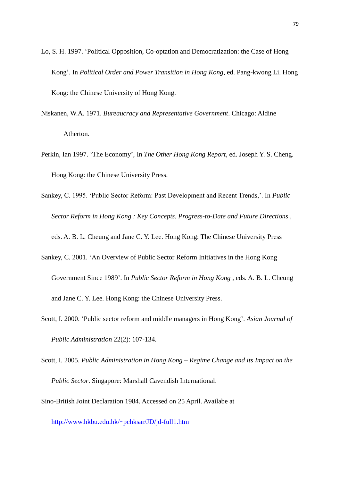- Lo, S. H. 1997. 'Political Opposition, Co-optation and Democratization: the Case of Hong Kong'. In *Political Order and Power Transition in Hong Kong*, ed. Pang-kwong Li. Hong Kong: the Chinese University of Hong Kong.
- Niskanen, W.A. 1971. *Bureaucracy and Representative Government*. Chicago: Aldine Atherton.
- Perkin, Ian 1997. 'The Economy', In *The Other Hong Kong Report*, ed. Joseph Y. S. Cheng. Hong Kong: the Chinese University Press.
- Sankey, C. 1995. 'Public Sector Reform: Past Development and Recent Trends,'. In *Public Sector Reform in Hong Kong : Key Concepts, Progress-to-Date and Future Directions* ,

eds. A. B. L. Cheung and Jane C. Y. Lee. Hong Kong: The Chinese University Press

- Sankey, C. 2001. 'An Overview of Public Sector Reform Initiatives in the Hong Kong Government Since 1989'. In *Public Sector Reform in Hong Kong* , eds. A. B. L. Cheung and Jane C. Y. Lee. Hong Kong: the Chinese University Press.
- Scott, I. 2000. 'Public sector reform and middle managers in Hong Kong'. *Asian Journal of Public Administration* 22(2): 107-134.
- Scott, I. 2005. *Public Administration in Hong Kong – Regime Change and its Impact on the Public Sector*. Singapore: Marshall Cavendish International.

Sino-British Joint Declaration 1984. Accessed on 25 April. Availabe at

<http://www.hkbu.edu.hk/~pchksar/JD/jd-full1.htm>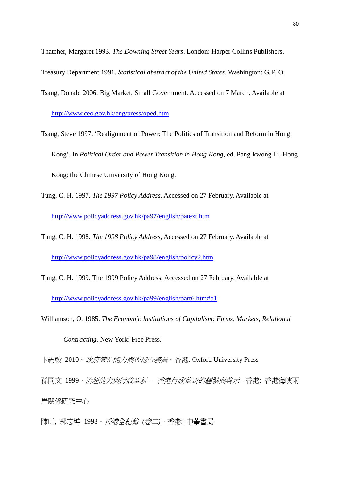Thatcher, Margaret 1993. *The Downing Street Years*. London: Harper Collins Publishers.

Treasury Department 1991. *Statistical abstract of the United States*. Washington: G. P. O.

Tsang, Donald 2006. Big Market, Small Government. Accessed on 7 March. Available at <http://www.ceo.gov.hk/eng/press/oped.htm>

Tsang, Steve 1997. 'Realignment of Power: The Politics of Transition and Reform in Hong Kong'. In *Political Order and Power Transition in Hong Kong*, ed. Pang-kwong Li. Hong Kong: the Chinese University of Hong Kong.

- Tung, C. H. 1997. *The 1997 Policy Address*, Accessed on 27 February. Available at <http://www.policyaddress.gov.hk/pa97/english/patext.htm>
- Tung, C. H. 1998. *The 1998 Policy Address*, Accessed on 27 February. Available at <http://www.policyaddress.gov.hk/pa98/english/policy2.htm>
- Tung, C. H. 1999. The 1999 Policy Address, Accessed on 27 February. Available at <http://www.policyaddress.gov.hk/pa99/english/part6.htm#b1>

Williamson, O. 1985. *The Economic Institutions of Capitalism: Firms, Markets, Relational Contracting.* New York: Free Press.

卜約翰 2010。政府管治能力與香港公務員。香港: Oxford University Press

孫同文 1999。*治理能力與行政革新 – 香港行政革新的經驗與啓示*。香港: 香港海峽兩 岸關係研究中心

陳昕, 郭志坤 1998。香港全紀錄 *(*卷二*)*。香港: 中華書局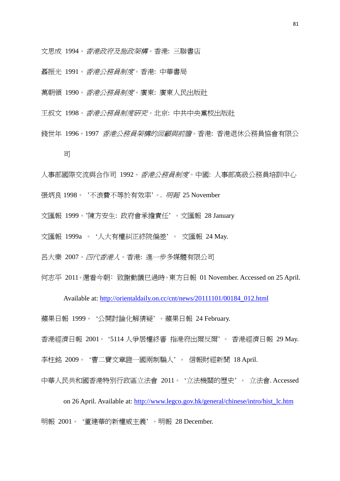文思成 1994。香港政府及施政架構。香港: 三聯書店

聶振光 1991。香港公務員制度。香港: 中華書局

萬朝領 1990。香港公務員制度。廣東: 廣東人民出版社

王叔文 1998。香港公務員制度研究。北京: 中共中央黨校出版社

錢世年 1996。1997 香港公務員架構的回顧與前膽。香港: 香港退休公務員協會有限公

司

人事部國際交流與合作司 1992。香港公務員制度。中國: 人事部高級公務員培訓中心

張炳良 1998。 '不浪費不等於有效率'。*.* 明報 25 November

文匯報 1999。'陳方安生: 政府會承擔責任' 。文匯報 28 January

文匯報 1999a 。 '人大有權糾正終院偏差' 。 文匯報 24 May.

呂大樂 2007。四代香港人。香港: 進一步多媒體有限公司

何志平 2011。還看今朝﹕致謝動議巳過時。東方日報 01 November. Accessed on 25 April.

Available at: [http://orientaldaily.on.cc/cnt/news/20111101/00184\\_012.html](http://orientaldaily.on.cc/cnt/news/20111101/00184_012.html)

蘋果日報 1999。 '公開討論化解猜疑' 。蘋果日報 24 February.

香港經濟日報 2001。 '5114 人爭居權終審 指港府出爾反爾' 。 香港經濟日報 29 May. 李柱銘 2009。 '曹二寶文章證一國兩制騙人' 。 信報財經新聞 18 April.

中華人民共和國香港特別行政區立法會 2011。 '立法機關的歷史' 。 立法會. Accessed

on 26 April. Available at: [http://www.legco.gov.hk/general/chinese/intro/hist\\_lc.htm](http://www.legco.gov.hk/general/chinese/intro/hist_lc.htm) 明報 2001。 '董建華的新權威主義' 。明報 28 December.